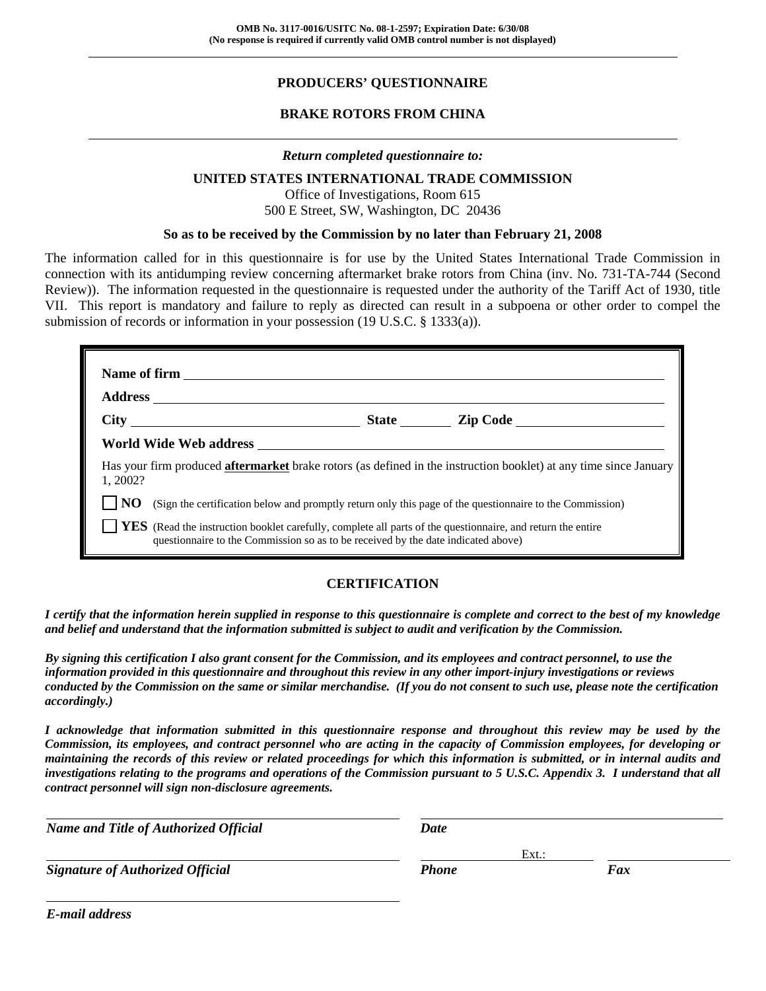# **PRODUCERS' QUESTIONNAIRE**

## **BRAKE ROTORS FROM CHINA**

#### *Return completed questionnaire to:*

#### **UNITED STATES INTERNATIONAL TRADE COMMISSION**

Office of Investigations, Room 615 500 E Street, SW, Washington, DC 20436

#### **So as to be received by the Commission by no later than February 21, 2008**

The information called for in this questionnaire is for use by the United States International Trade Commission in connection with its antidumping review concerning aftermarket brake rotors from China (inv. No. 731-TA-744 (Second Review)). The information requested in the questionnaire is requested under the authority of the Tariff Act of 1930, title VII. This report is mandatory and failure to reply as directed can result in a subpoena or other order to compel the submission of records or information in your possession (19 U.S.C. § 1333(a)).

|         |                                                                                   | State <u>Lip Code</u>                                                                                                    |
|---------|-----------------------------------------------------------------------------------|--------------------------------------------------------------------------------------------------------------------------|
|         |                                                                                   |                                                                                                                          |
| 1.2002? |                                                                                   | Has your firm produced <b>aftermarket</b> brake rotors (as defined in the instruction booklet) at any time since January |
| NO.     |                                                                                   | (Sign the certification below and promptly return only this page of the questionnaire to the Commission)                 |
|         | questionnaire to the Commission so as to be received by the date indicated above) | <b>YES</b> (Read the instruction booklet carefully, complete all parts of the questionnaire, and return the entire       |

#### **CERTIFICATION**

*I certify that the information herein supplied in response to this questionnaire is complete and correct to the best of my knowledge and belief and understand that the information submitted is subject to audit and verification by the Commission.* 

*By signing this certification I also grant consent for the Commission, and its employees and contract personnel, to use the information provided in this questionnaire and throughout this review in any other import-injury investigations or reviews conducted by the Commission on the same or similar merchandise. (If you do not consent to such use, please note the certification accordingly.)* 

*I acknowledge that information submitted in this questionnaire response and throughout this review may be used by the Commission, its employees, and contract personnel who are acting in the capacity of Commission employees, for developing or maintaining the records of this review or related proceedings for which this information is submitted, or in internal audits and investigations relating to the programs and operations of the Commission pursuant to 5 U.S.C. Appendix 3. I understand that all contract personnel will sign non-disclosure agreements.* 

l *Name and Title of Authorized Official Date* Ext.: Ext.: Ext.: Ext.: Ext.: Ext.: Ext.: Ext.: Ext.: Ext.: Ext.: Ext.: Ext.: Ext.: Ext.: Ext.: Ext.: Ext.: Ext.: Ext.: Ext.: Ext.: Ext.: Ext.: Ext.: Ext.: Ext.: Ext.: Ext.: Ext.: Ext.: Ext.: Ext.: Ext.: Ext.: Ext.: Ext.: *Signature of Authorized Official Phone Fax*

*E-mail address*

l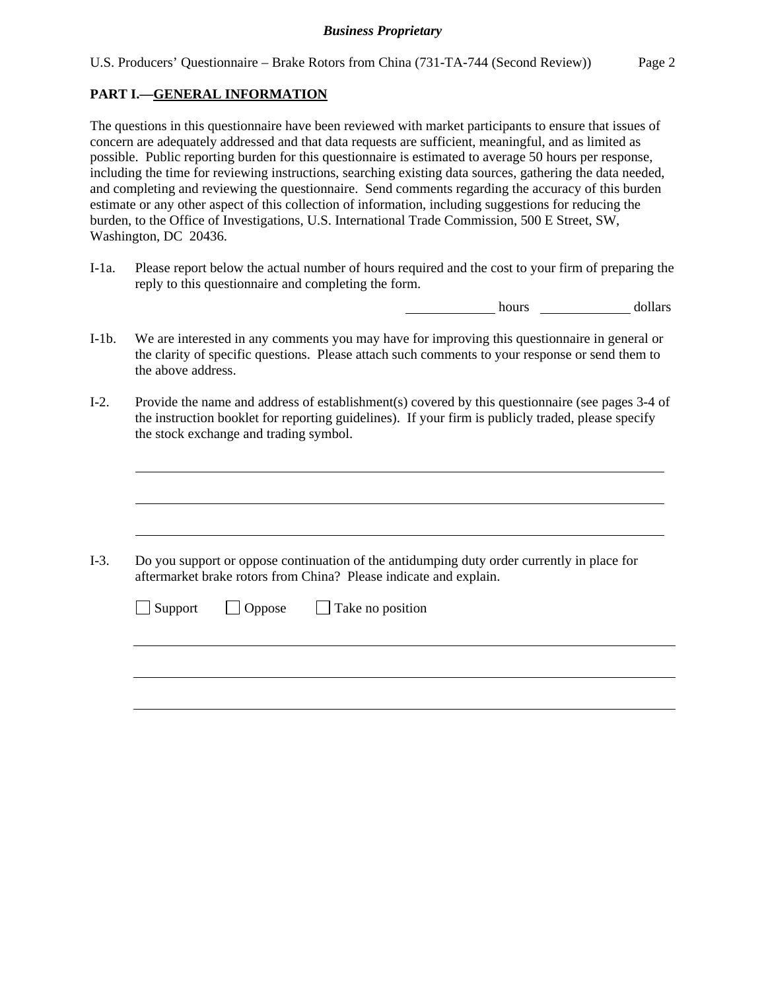### **PART I.—GENERAL INFORMATION**

 $\overline{a}$ 

 $\overline{a}$ 

 $\overline{a}$ 

The questions in this questionnaire have been reviewed with market participants to ensure that issues of concern are adequately addressed and that data requests are sufficient, meaningful, and as limited as possible. Public reporting burden for this questionnaire is estimated to average 50 hours per response, including the time for reviewing instructions, searching existing data sources, gathering the data needed, and completing and reviewing the questionnaire. Send comments regarding the accuracy of this burden estimate or any other aspect of this collection of information, including suggestions for reducing the burden, to the Office of Investigations, U.S. International Trade Commission, 500 E Street, SW, Washington, DC 20436.

I-1a. Please report below the actual number of hours required and the cost to your firm of preparing the reply to this questionnaire and completing the form.

hours dollars dollars

- I-1b. We are interested in any comments you may have for improving this questionnaire in general or the clarity of specific questions. Please attach such comments to your response or send them to the above address.
- I-2. Provide the name and address of establishment(s) covered by this questionnaire (see pages 3-4 of the instruction booklet for reporting guidelines). If your firm is publicly traded, please specify the stock exchange and trading symbol.

I-3. Do you support or oppose continuation of the antidumping duty order currently in place for aftermarket brake rotors from China? Please indicate and explain.

|  | $\Box$ Support $\Box$ Oppose $\Box$ Take no position |
|--|------------------------------------------------------|
|  |                                                      |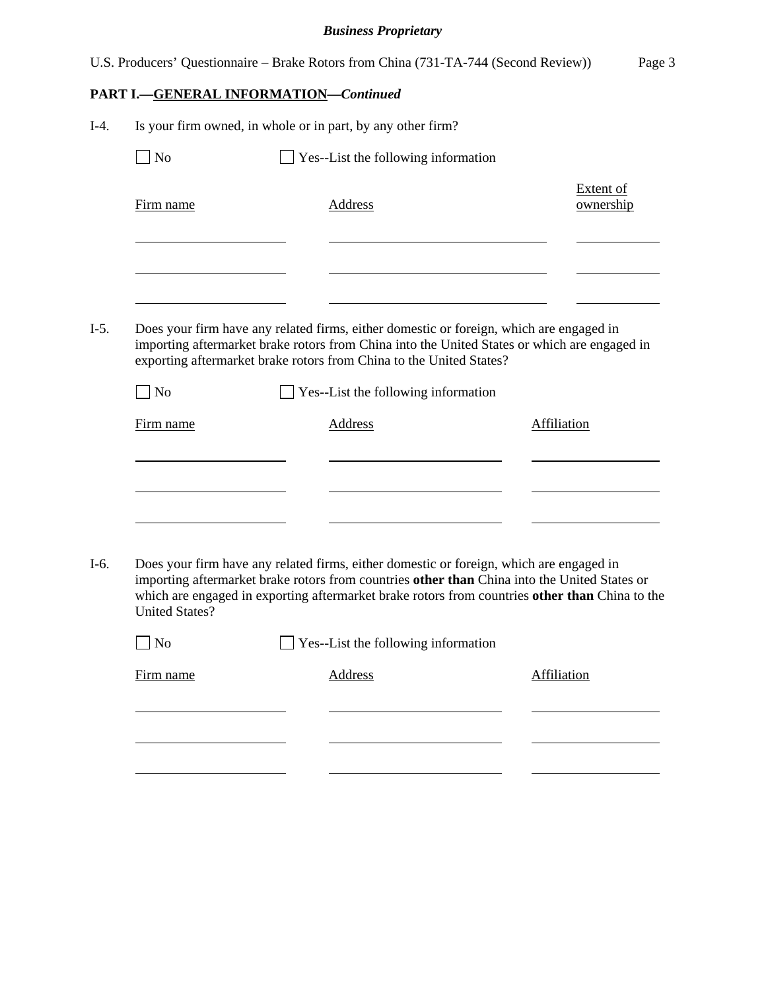|        |                                              | U.S. Producers' Questionnaire – Brake Rotors from China (731-TA-744 (Second Review))                                                                                                                                                                                                      |                    | Page 3                 |
|--------|----------------------------------------------|-------------------------------------------------------------------------------------------------------------------------------------------------------------------------------------------------------------------------------------------------------------------------------------------|--------------------|------------------------|
|        | <b>PART I.-GENERAL INFORMATION-Continued</b> |                                                                                                                                                                                                                                                                                           |                    |                        |
| $I-4.$ |                                              | Is your firm owned, in whole or in part, by any other firm?                                                                                                                                                                                                                               |                    |                        |
|        | $\exists$ No                                 | Yes--List the following information                                                                                                                                                                                                                                                       |                    |                        |
|        | Firm name                                    | Address                                                                                                                                                                                                                                                                                   |                    | Extent of<br>ownership |
|        |                                              |                                                                                                                                                                                                                                                                                           |                    |                        |
| $I-5.$ |                                              | Does your firm have any related firms, either domestic or foreign, which are engaged in<br>importing aftermarket brake rotors from China into the United States or which are engaged in<br>exporting aftermarket brake rotors from China to the United States?                            |                    |                        |
|        | $\Box$ No                                    | Yes--List the following information                                                                                                                                                                                                                                                       |                    |                        |
|        | Firm name                                    | <b>Address</b>                                                                                                                                                                                                                                                                            | <b>Affiliation</b> |                        |
|        |                                              |                                                                                                                                                                                                                                                                                           |                    |                        |
| $I-6.$ | <b>United States?</b>                        | Does your firm have any related firms, either domestic or foreign, which are engaged in<br>importing aftermarket brake rotors from countries other than China into the United States or<br>which are engaged in exporting aftermarket brake rotors from countries other than China to the |                    |                        |
|        | N <sub>o</sub>                               | Yes--List the following information                                                                                                                                                                                                                                                       |                    |                        |

| Firm name | Address | Affiliation |
|-----------|---------|-------------|
|           |         |             |
|           |         |             |
|           |         |             |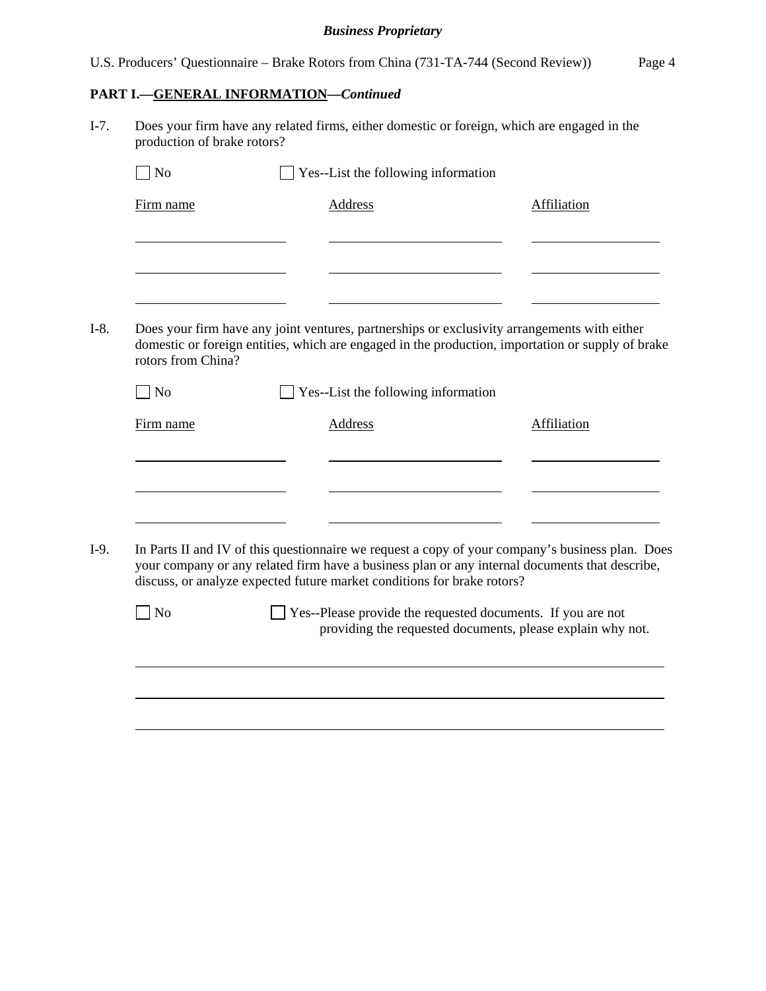U.S. Producers' Questionnaire – Brake Rotors from China (731-TA-744 (Second Review)) Page 4

### **PART I.—GENERAL INFORMATION—***Continued*

 $\overline{a}$ 

 $\overline{a}$ 

 $\overline{a}$ 

I-7. Does your firm have any related firms, either domestic or foreign, which are engaged in the production of brake rotors?  $\Box$  No  $\Box$  Yes--List the following information

| Firm name | Address | Affiliation |
|-----------|---------|-------------|
|           |         |             |
|           |         |             |
|           |         |             |

I-8. Does your firm have any joint ventures, partnerships or exclusivity arrangements with either domestic or foreign entities, which are engaged in the production, importation or supply of brake rotors from China?

| No        | $\Box$ Yes--List the following information |             |
|-----------|--------------------------------------------|-------------|
| Firm name | Address                                    | Affiliation |
|           |                                            |             |
|           |                                            |             |
|           |                                            |             |
|           |                                            |             |

I-9. In Parts II and IV of this questionnaire we request a copy of your company's business plan. Does your company or any related firm have a business plan or any internal documents that describe, discuss, or analyze expected future market conditions for brake rotors?

No Yes--Please provide the requested documents. If you are not providing the requested documents, please explain why not.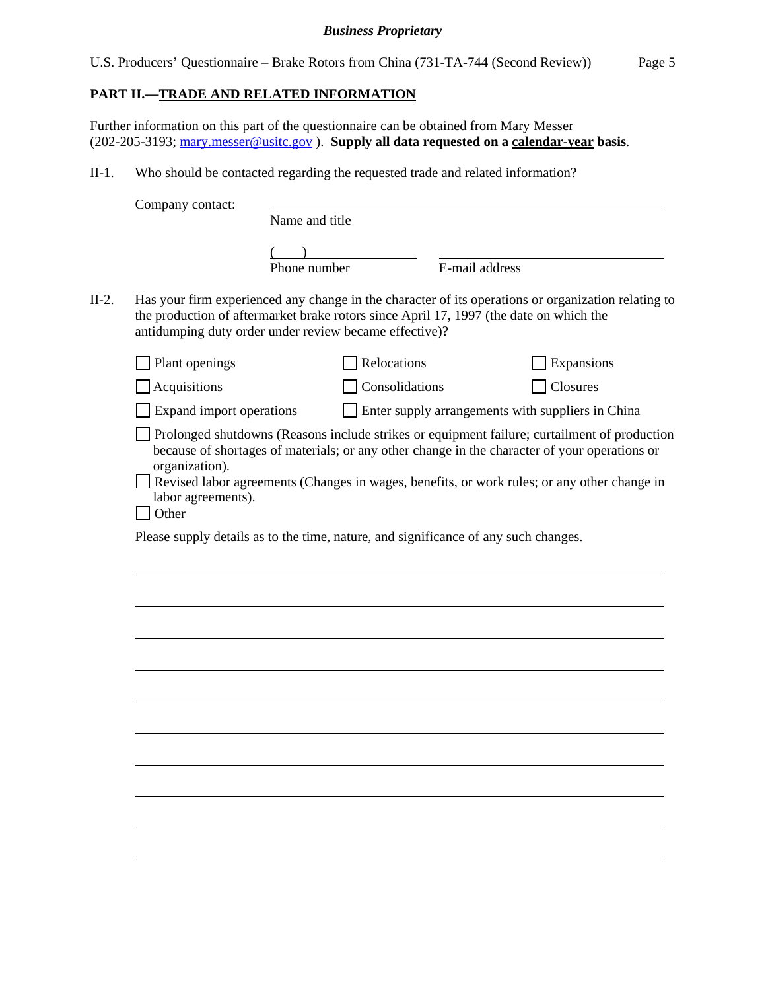|  |  |  |  |  | U.S. Producers' Questionnaire – Brake Rotors from China (731-TA-744 (Second Review)) | Page 5 |
|--|--|--|--|--|--------------------------------------------------------------------------------------|--------|
|--|--|--|--|--|--------------------------------------------------------------------------------------|--------|

### **PART II.—TRADE AND RELATED INFORMATION**

Further information on this part of the questionnaire can be obtained from Mary Messer (202-205-3193; mary.messer@usitc.gov ). **Supply all data requested on a calendar-year basis**.

II-1. Who should be contacted regarding the requested trade and related information?

| Company contact:                                                                                                                                 |                |                |                |                                                                                                     |
|--------------------------------------------------------------------------------------------------------------------------------------------------|----------------|----------------|----------------|-----------------------------------------------------------------------------------------------------|
|                                                                                                                                                  | Name and title |                |                |                                                                                                     |
|                                                                                                                                                  |                |                |                |                                                                                                     |
|                                                                                                                                                  | Phone number   |                | E-mail address |                                                                                                     |
| the production of aftermarket brake rotors since April 17, 1997 (the date on which the<br>antidumping duty order under review became effective)? |                |                |                | Has your firm experienced any change in the character of its operations or organization relating to |
| Plant openings                                                                                                                                   |                | Relocations    |                | Expansions                                                                                          |
| Acquisitions                                                                                                                                     |                | Consolidations |                | Closures                                                                                            |
| Expand import operations                                                                                                                         |                |                |                | Enter supply arrangements with suppliers in China                                                   |
| organization).<br>labor agreements).<br>Other<br>Please supply details as to the time, nature, and significance of any such changes.             |                |                |                | Revised labor agreements (Changes in wages, benefits, or work rules; or any other change in         |
|                                                                                                                                                  |                |                |                |                                                                                                     |
|                                                                                                                                                  |                |                |                |                                                                                                     |
|                                                                                                                                                  |                |                |                |                                                                                                     |
|                                                                                                                                                  |                |                |                |                                                                                                     |
|                                                                                                                                                  |                |                |                |                                                                                                     |
|                                                                                                                                                  |                |                |                |                                                                                                     |
|                                                                                                                                                  |                |                |                |                                                                                                     |
|                                                                                                                                                  |                |                |                |                                                                                                     |
|                                                                                                                                                  |                |                |                |                                                                                                     |
|                                                                                                                                                  |                |                |                |                                                                                                     |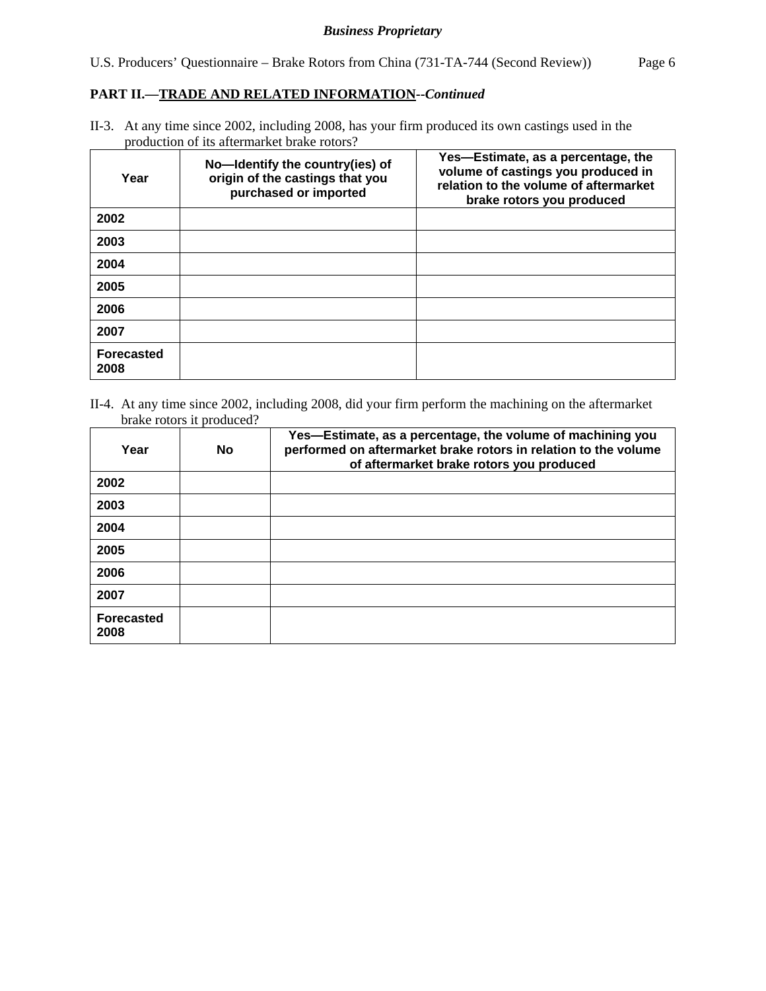# **PART II.—TRADE AND RELATED INFORMATION--***Continued*

II-3. At any time since 2002, including 2008, has your firm produced its own castings used in the production of its aftermarket brake rotors?

| Year                      | No-Identify the country(ies) of<br>origin of the castings that you<br>purchased or imported | Yes-Estimate, as a percentage, the<br>volume of castings you produced in<br>relation to the volume of aftermarket<br>brake rotors you produced |
|---------------------------|---------------------------------------------------------------------------------------------|------------------------------------------------------------------------------------------------------------------------------------------------|
| 2002                      |                                                                                             |                                                                                                                                                |
| 2003                      |                                                                                             |                                                                                                                                                |
| 2004                      |                                                                                             |                                                                                                                                                |
| 2005                      |                                                                                             |                                                                                                                                                |
| 2006                      |                                                                                             |                                                                                                                                                |
| 2007                      |                                                                                             |                                                                                                                                                |
| <b>Forecasted</b><br>2008 |                                                                                             |                                                                                                                                                |

II-4. At any time since 2002, including 2008, did your firm perform the machining on the aftermarket brake rotors it produced?

| Year                      | <b>No</b> | Yes-Estimate, as a percentage, the volume of machining you<br>performed on aftermarket brake rotors in relation to the volume<br>of aftermarket brake rotors you produced |
|---------------------------|-----------|---------------------------------------------------------------------------------------------------------------------------------------------------------------------------|
| 2002                      |           |                                                                                                                                                                           |
| 2003                      |           |                                                                                                                                                                           |
| 2004                      |           |                                                                                                                                                                           |
| 2005                      |           |                                                                                                                                                                           |
| 2006                      |           |                                                                                                                                                                           |
| 2007                      |           |                                                                                                                                                                           |
| <b>Forecasted</b><br>2008 |           |                                                                                                                                                                           |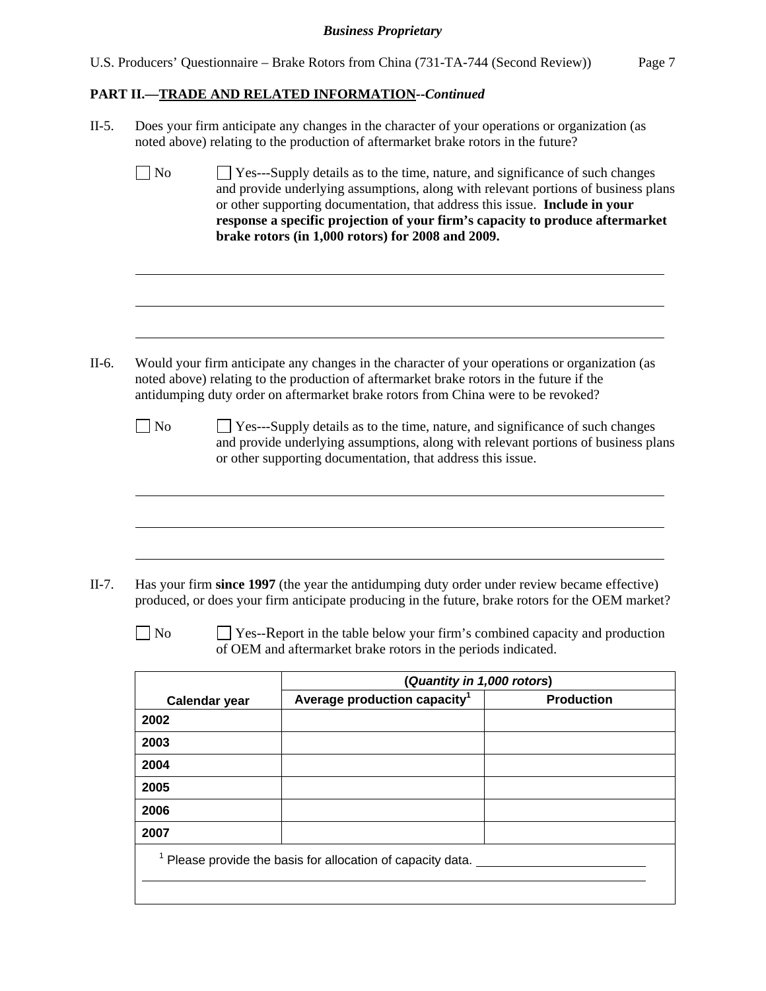| U.S. Producers' Questionnaire – Brake Rotors from China (731-TA-744 (Second Review)) | Page 7 |
|--------------------------------------------------------------------------------------|--------|
|--------------------------------------------------------------------------------------|--------|

# **PART II.—TRADE AND RELATED INFORMATION--***Continued*

|              |               | Does your firm anticipate any changes in the character of your operations or organization (as<br>noted above) relating to the production of aftermarket brake rotors in the future?                                                                                                                                                                                                      |                   |
|--------------|---------------|------------------------------------------------------------------------------------------------------------------------------------------------------------------------------------------------------------------------------------------------------------------------------------------------------------------------------------------------------------------------------------------|-------------------|
| $\big]$ No   |               | Yes---Supply details as to the time, nature, and significance of such changes<br>and provide underlying assumptions, along with relevant portions of business plans<br>or other supporting documentation, that address this issue. Include in your<br>response a specific projection of your firm's capacity to produce aftermarket<br>brake rotors (in 1,000 rotors) for 2008 and 2009. |                   |
|              |               |                                                                                                                                                                                                                                                                                                                                                                                          |                   |
|              |               | Would your firm anticipate any changes in the character of your operations or organization (as<br>noted above) relating to the production of aftermarket brake rotors in the future if the<br>antidumping duty order on aftermarket brake rotors from China were to be revoked?                                                                                                          |                   |
| $\vert$ No   |               | $\Box$ Yes---Supply details as to the time, nature, and significance of such changes<br>and provide underlying assumptions, along with relevant portions of business plans<br>or other supporting documentation, that address this issue.                                                                                                                                                |                   |
| $\exists$ No |               | Has your firm since 1997 (the year the antidumping duty order under review became effective)<br>produced, or does your firm anticipate producing in the future, brake rotors for the OEM market?<br>$\Box$ Yes--Report in the table below your firm's combined capacity and production<br>of OEM and aftermarket brake rotors in the periods indicated.                                  |                   |
|              |               | (Quantity in 1,000 rotors)                                                                                                                                                                                                                                                                                                                                                               |                   |
|              | Calendar year | Average production capacity <sup>1</sup>                                                                                                                                                                                                                                                                                                                                                 | <b>Production</b> |
| 2002         |               |                                                                                                                                                                                                                                                                                                                                                                                          |                   |
| 2003         |               |                                                                                                                                                                                                                                                                                                                                                                                          |                   |
| 2004         |               |                                                                                                                                                                                                                                                                                                                                                                                          |                   |
| 2005         |               |                                                                                                                                                                                                                                                                                                                                                                                          |                   |
| 2006         |               |                                                                                                                                                                                                                                                                                                                                                                                          |                   |
| 2007         |               |                                                                                                                                                                                                                                                                                                                                                                                          |                   |
|              |               |                                                                                                                                                                                                                                                                                                                                                                                          |                   |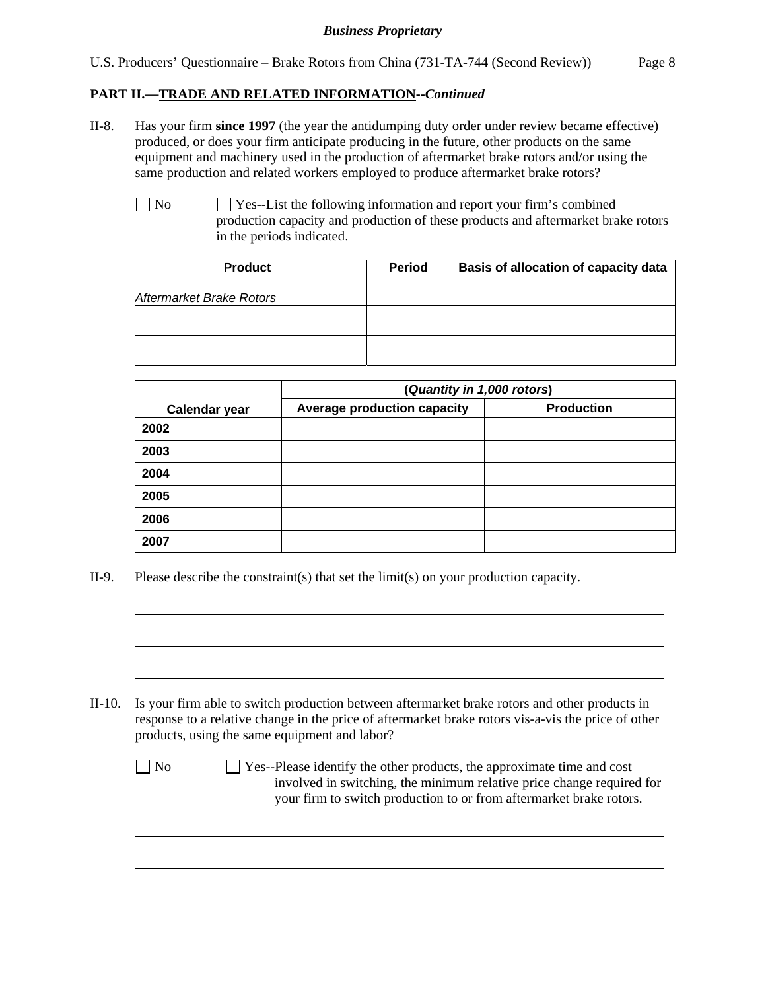## **PART II.—TRADE AND RELATED INFORMATION--***Continued*

- II-8. Has your firm **since 1997** (the year the antidumping duty order under review became effective) produced, or does your firm anticipate producing in the future, other products on the same equipment and machinery used in the production of aftermarket brake rotors and/or using the same production and related workers employed to produce aftermarket brake rotors?
	- No Ses--List the following information and report your firm's combined production capacity and production of these products and aftermarket brake rotors in the periods indicated.

| <b>Product</b>           | <b>Period</b> | Basis of allocation of capacity data |
|--------------------------|---------------|--------------------------------------|
| Aftermarket Brake Rotors |               |                                      |
|                          |               |                                      |
|                          |               |                                      |

|                      | (Quantity in 1,000 rotors)         |                   |  |  |  |  |  |
|----------------------|------------------------------------|-------------------|--|--|--|--|--|
| <b>Calendar year</b> | <b>Average production capacity</b> | <b>Production</b> |  |  |  |  |  |
| 2002                 |                                    |                   |  |  |  |  |  |
| 2003                 |                                    |                   |  |  |  |  |  |
| 2004                 |                                    |                   |  |  |  |  |  |
| 2005                 |                                    |                   |  |  |  |  |  |
| 2006                 |                                    |                   |  |  |  |  |  |
| 2007                 |                                    |                   |  |  |  |  |  |

II-9. Please describe the constraint(s) that set the limit(s) on your production capacity.

l

 $\overline{a}$ 

 $\overline{a}$ 

 $\overline{a}$ 

 $\overline{a}$ 

 $\overline{a}$ 

II-10. Is your firm able to switch production between aftermarket brake rotors and other products in response to a relative change in the price of aftermarket brake rotors vis-a-vis the price of other products, using the same equipment and labor?

 $\Box$  No  $\Box$  Yes--Please identify the other products, the approximate time and cost involved in switching, the minimum relative price change required for your firm to switch production to or from aftermarket brake rotors.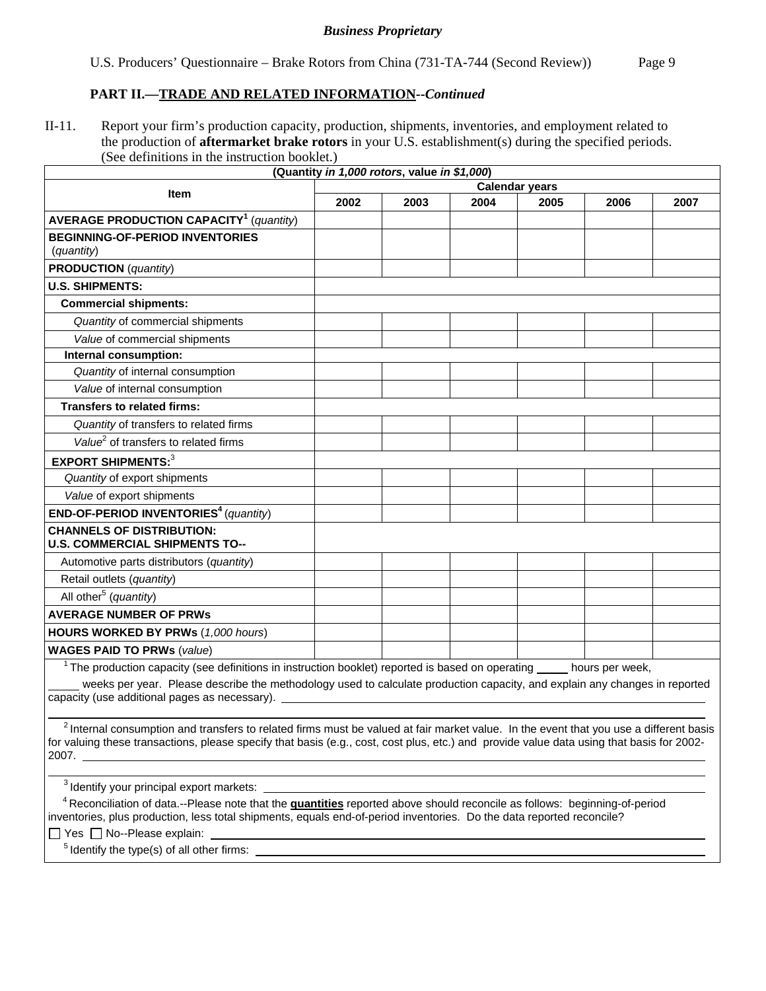U.S. Producers' Questionnaire – Brake Rotors from China (731-TA-744 (Second Review)) Page 9

#### **PART II.—TRADE AND RELATED INFORMATION--***Continued*

II-11. Report your firm's production capacity, production, shipments, inventories, and employment related to the production of **aftermarket brake rotors** in your U.S. establishment(s) during the specified periods. (See definitions in the instruction booklet.)

|                                                                                                 |                       | (Quantity in 1,000 rotors, value in \$1,000) |      |      |                 |      |  |
|-------------------------------------------------------------------------------------------------|-----------------------|----------------------------------------------|------|------|-----------------|------|--|
| <b>Item</b>                                                                                     | <b>Calendar years</b> |                                              |      |      |                 |      |  |
|                                                                                                 | 2002                  | 2003                                         | 2004 | 2005 | 2006            | 2007 |  |
| <b>AVERAGE PRODUCTION CAPACITY<sup>1</sup></b> (quantity)                                       |                       |                                              |      |      |                 |      |  |
| <b>BEGINNING-OF-PERIOD INVENTORIES</b>                                                          |                       |                                              |      |      |                 |      |  |
| (quantity)                                                                                      |                       |                                              |      |      |                 |      |  |
| <b>PRODUCTION</b> (quantity)                                                                    |                       |                                              |      |      |                 |      |  |
| <b>U.S. SHIPMENTS:</b>                                                                          |                       |                                              |      |      |                 |      |  |
| <b>Commercial shipments:</b>                                                                    |                       |                                              |      |      |                 |      |  |
| Quantity of commercial shipments                                                                |                       |                                              |      |      |                 |      |  |
| Value of commercial shipments                                                                   |                       |                                              |      |      |                 |      |  |
| Internal consumption:                                                                           |                       |                                              |      |      |                 |      |  |
| Quantity of internal consumption                                                                |                       |                                              |      |      |                 |      |  |
| Value of internal consumption                                                                   |                       |                                              |      |      |                 |      |  |
| <b>Transfers to related firms:</b>                                                              |                       |                                              |      |      |                 |      |  |
| Quantity of transfers to related firms                                                          |                       |                                              |      |      |                 |      |  |
| Value <sup>2</sup> of transfers to related firms                                                |                       |                                              |      |      |                 |      |  |
| <b>EXPORT SHIPMENTS:3</b>                                                                       |                       |                                              |      |      |                 |      |  |
| Quantity of export shipments                                                                    |                       |                                              |      |      |                 |      |  |
| Value of export shipments                                                                       |                       |                                              |      |      |                 |      |  |
| <b>END-OF-PERIOD INVENTORIES<sup>4</sup></b> (quantity)                                         |                       |                                              |      |      |                 |      |  |
| <b>CHANNELS OF DISTRIBUTION:</b><br><b>U.S. COMMERCIAL SHIPMENTS TO--</b>                       |                       |                                              |      |      |                 |      |  |
| Automotive parts distributors (quantity)                                                        |                       |                                              |      |      |                 |      |  |
| Retail outlets (quantity)                                                                       |                       |                                              |      |      |                 |      |  |
| All other <sup>5</sup> (quantity)                                                               |                       |                                              |      |      |                 |      |  |
| <b>AVERAGE NUMBER OF PRWS</b>                                                                   |                       |                                              |      |      |                 |      |  |
| <b>HOURS WORKED BY PRWs (1,000 hours)</b>                                                       |                       |                                              |      |      |                 |      |  |
| <b>WAGES PAID TO PRWs (value)</b>                                                               |                       |                                              |      |      |                 |      |  |
| The production capacity (see definitions in instruction booklet) reported is based on operating |                       |                                              |      |      | hours per week, |      |  |

 weeks per year. Please describe the methodology used to calculate production capacity, and explain any changes in reported capacity (use additional pages as necessary).

 $2$  Internal consumption and transfers to related firms must be valued at fair market value. In the event that you use a different basis for valuing these transactions, please specify that basis (e.g., cost, cost plus, etc.) and provide value data using that basis for 2002-  $2007.$ 

3 Identify your principal export markets:

 4 Reconciliation of data.--Please note that the **quantities** reported above should reconcile as follows: beginning-of-period inventories, plus production, less total shipments, equals end-of-period inventories. Do the data reported reconcile?

 $\Box$  Yes  $\Box$  No--Please explain:

 $\overline{a}$ 

 $\overline{a}$ 

 $<sup>5</sup>$  Identify the type(s) of all other firms:</sup>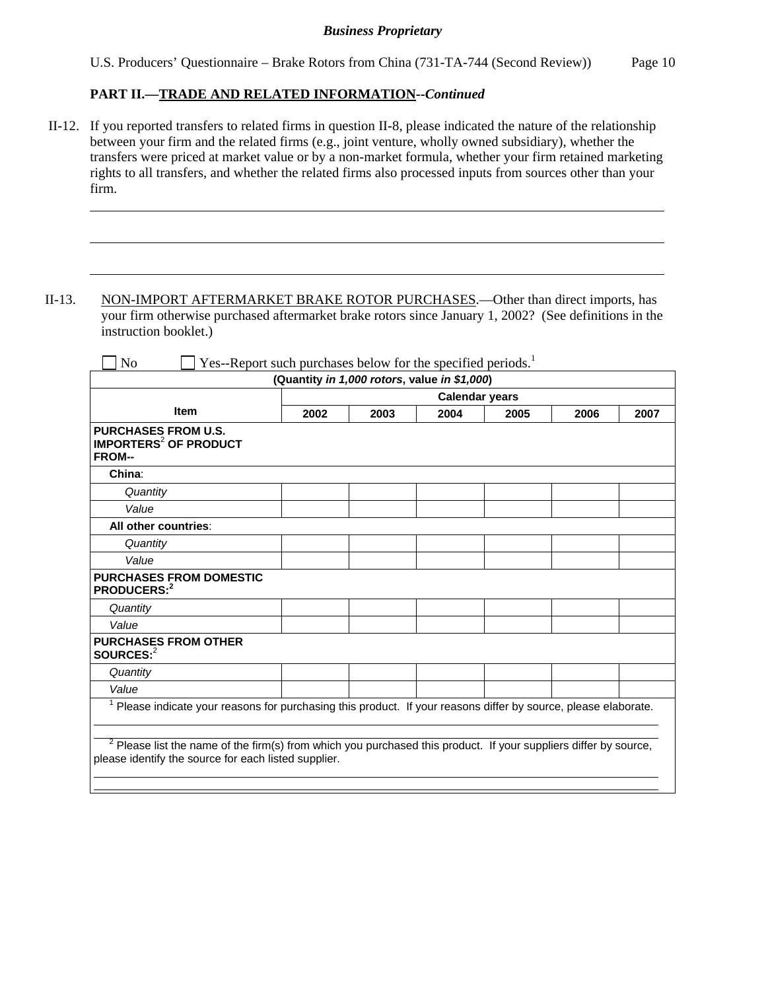U.S. Producers' Questionnaire – Brake Rotors from China (731-TA-744 (Second Review)) Page 10

#### **PART II.—TRADE AND RELATED INFORMATION--***Continued*

l

 $\overline{a}$ 

 $\overline{a}$ 

 II-12. If you reported transfers to related firms in question II-8, please indicated the nature of the relationship between your firm and the related firms (e.g., joint venture, wholly owned subsidiary), whether the transfers were priced at market value or by a non-market formula, whether your firm retained marketing rights to all transfers, and whether the related firms also processed inputs from sources other than your firm.

II-13. NON-IMPORT AFTERMARKET BRAKE ROTOR PURCHASES.—Other than direct imports, has your firm otherwise purchased aftermarket brake rotors since January 1, 2002? (See definitions in the instruction booklet.)

|                                                                                                                                                                                     | (Quantity in 1,000 rotors, value in \$1,000) |      |                       |      |      |      |
|-------------------------------------------------------------------------------------------------------------------------------------------------------------------------------------|----------------------------------------------|------|-----------------------|------|------|------|
|                                                                                                                                                                                     |                                              |      | <b>Calendar years</b> |      |      |      |
| <b>Item</b>                                                                                                                                                                         | 2002                                         | 2003 | 2004                  | 2005 | 2006 | 2007 |
| <b>PURCHASES FROM U.S.</b><br><b>IMPORTERS<sup>2</sup> OF PRODUCT</b><br><b>FROM--</b>                                                                                              |                                              |      |                       |      |      |      |
| China:                                                                                                                                                                              |                                              |      |                       |      |      |      |
| Quantity                                                                                                                                                                            |                                              |      |                       |      |      |      |
| Value                                                                                                                                                                               |                                              |      |                       |      |      |      |
| All other countries:                                                                                                                                                                |                                              |      |                       |      |      |      |
| Quantity                                                                                                                                                                            |                                              |      |                       |      |      |      |
| Value                                                                                                                                                                               |                                              |      |                       |      |      |      |
| <b>PURCHASES FROM DOMESTIC</b><br>PRODUCERS:2                                                                                                                                       |                                              |      |                       |      |      |      |
| Quantity                                                                                                                                                                            |                                              |      |                       |      |      |      |
| Value                                                                                                                                                                               |                                              |      |                       |      |      |      |
| <b>PURCHASES FROM OTHER</b><br>SOURCES: <sup>2</sup>                                                                                                                                |                                              |      |                       |      |      |      |
| Quantity                                                                                                                                                                            |                                              |      |                       |      |      |      |
| Value                                                                                                                                                                               |                                              |      |                       |      |      |      |
| Please indicate your reasons for purchasing this product. If your reasons differ by source, please elaborate.                                                                       |                                              |      |                       |      |      |      |
| <sup>2</sup> Please list the name of the firm(s) from which you purchased this product. If your suppliers differ by source,<br>please identify the source for each listed supplier. |                                              |      |                       |      |      |      |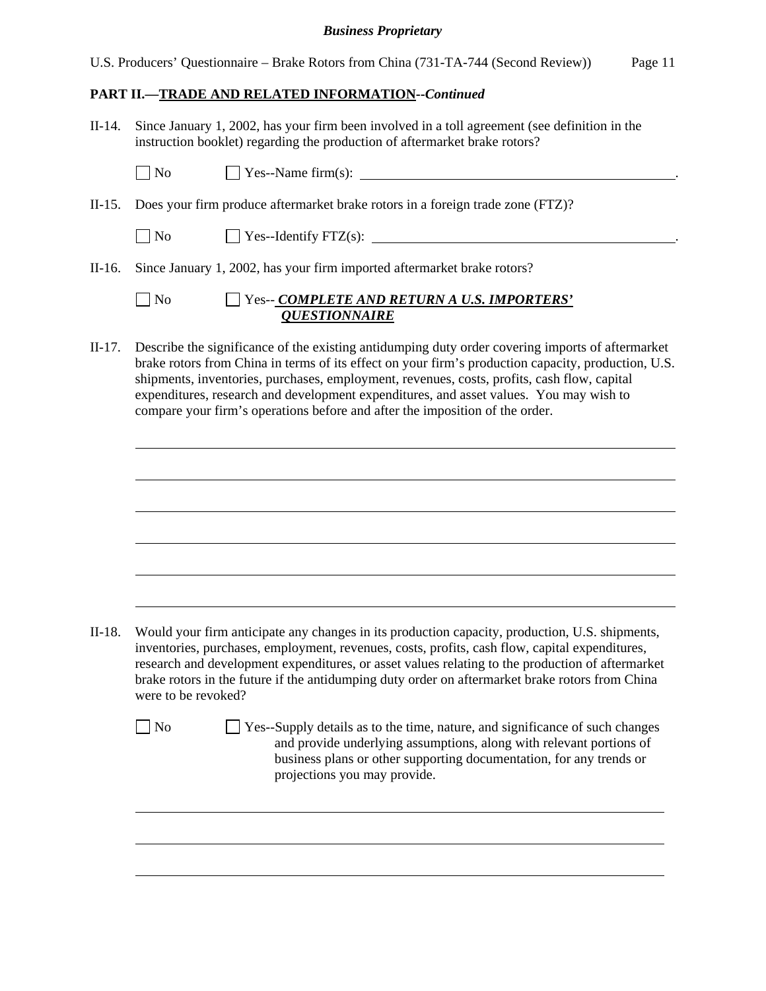|  |  |  |  |  | U.S. Producers' Questionnaire – Brake Rotors from China (731-TA-744 (Second Review)) | Page 11 |
|--|--|--|--|--|--------------------------------------------------------------------------------------|---------|
|--|--|--|--|--|--------------------------------------------------------------------------------------|---------|

## **PART II.—TRADE AND RELATED INFORMATION--***Continued*

| II-14. |              | Since January 1, 2002, has your firm been involved in a toll agreement (see definition in the<br>instruction booklet) regarding the production of aftermarket brake rotors? |
|--------|--------------|-----------------------------------------------------------------------------------------------------------------------------------------------------------------------------|
|        | $\vert$   No |                                                                                                                                                                             |
|        |              | II-15. Does your firm produce aftermarket brake rotors in a foreign trade zone (FTZ)?                                                                                       |
|        | $\Box$ No    | $\Box$ Yes--Identify FTZ(s): $\Box$                                                                                                                                         |
|        |              | II-16. Since January 1, 2002, has your firm imported aftermarket brake rotors?                                                                                              |

 No Yes-- *COMPLETE AND RETURN A U.S. IMPORTERS' QUESTIONNAIRE*

II-17. Describe the significance of the existing antidumping duty order covering imports of aftermarket brake rotors from China in terms of its effect on your firm's production capacity, production, U.S. shipments, inventories, purchases, employment, revenues, costs, profits, cash flow, capital expenditures, research and development expenditures, and asset values. You may wish to compare your firm's operations before and after the imposition of the order.

II-18. Would your firm anticipate any changes in its production capacity, production, U.S. shipments, inventories, purchases, employment, revenues, costs, profits, cash flow, capital expenditures, research and development expenditures, or asset values relating to the production of aftermarket brake rotors in the future if the antidumping duty order on aftermarket brake rotors from China were to be revoked?

 $\overline{a}$ 

 $\overline{a}$ 

 $\overline{a}$ 

l

 $\overline{a}$ 

 $\overline{a}$ 

 $\overline{a}$ 

 $\overline{a}$ 

 $\overline{a}$ 

No  $\Box$  Yes--Supply details as to the time, nature, and significance of such changes and provide underlying assumptions, along with relevant portions of business plans or other supporting documentation, for any trends or projections you may provide.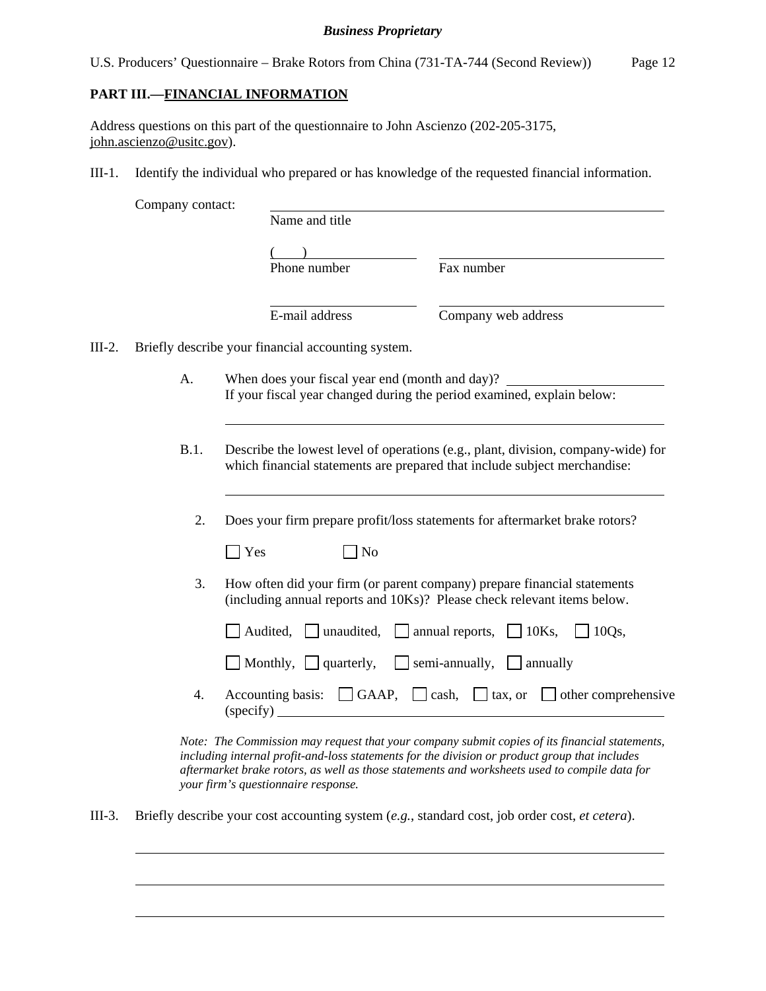|  |  | U.S. Producers' Questionnaire – Brake Rotors from China (731-TA-744 (Second Review)) | Page 12 |
|--|--|--------------------------------------------------------------------------------------|---------|
|  |  |                                                                                      |         |

## **PART III.—FINANCIAL INFORMATION**

Address questions on this part of the questionnaire to John Ascienzo (202-205-3175, john.ascienzo@usitc.gov).

III-1. Identify the individual who prepared or has knowledge of the requested financial information.

|          | Company contact: |                                                    |                                                                                                                                                                |
|----------|------------------|----------------------------------------------------|----------------------------------------------------------------------------------------------------------------------------------------------------------------|
|          |                  | Name and title                                     |                                                                                                                                                                |
|          |                  |                                                    |                                                                                                                                                                |
|          |                  | Phone number                                       | Fax number                                                                                                                                                     |
|          |                  | E-mail address                                     | Company web address                                                                                                                                            |
| $III-2.$ |                  | Briefly describe your financial accounting system. |                                                                                                                                                                |
|          | A.               | When does your fiscal year end (month and day)?    |                                                                                                                                                                |
|          |                  |                                                    | If your fiscal year changed during the period examined, explain below:                                                                                         |
|          | B.1.             |                                                    | Describe the lowest level of operations (e.g., plant, division, company-wide) for<br>which financial statements are prepared that include subject merchandise: |
|          | 2.               |                                                    | Does your firm prepare profit/loss statements for aftermarket brake rotors?                                                                                    |
|          |                  | $\vert$ Yes<br>No                                  |                                                                                                                                                                |
|          | 3.               |                                                    | How often did your firm (or parent company) prepare financial statements<br>(including annual reports and 10Ks)? Please check relevant items below.            |
|          |                  | Audited,                                           | $\Box$ unaudited, $\Box$ annual reports, $\Box$ 10Ks,<br>$\exists$ 10Qs,                                                                                       |
|          |                  | $\Box$ Monthly, $\Box$ quarterly,                  | $\Box$ semi-annually, $\Box$ annually                                                                                                                          |
|          | 4.               |                                                    | Accounting basis: $\Box$ GAAP, $\Box$ cash, $\Box$ tax, or $\Box$ other comprehensive                                                                          |

*including internal profit-and-loss statements for the division or product group that includes aftermarket brake rotors, as well as those statements and worksheets used to compile data for your firm's questionnaire response.* 

III-3. Briefly describe your cost accounting system (*e.g.*, standard cost, job order cost, *et cetera*).

l

 $\overline{a}$ 

 $\overline{a}$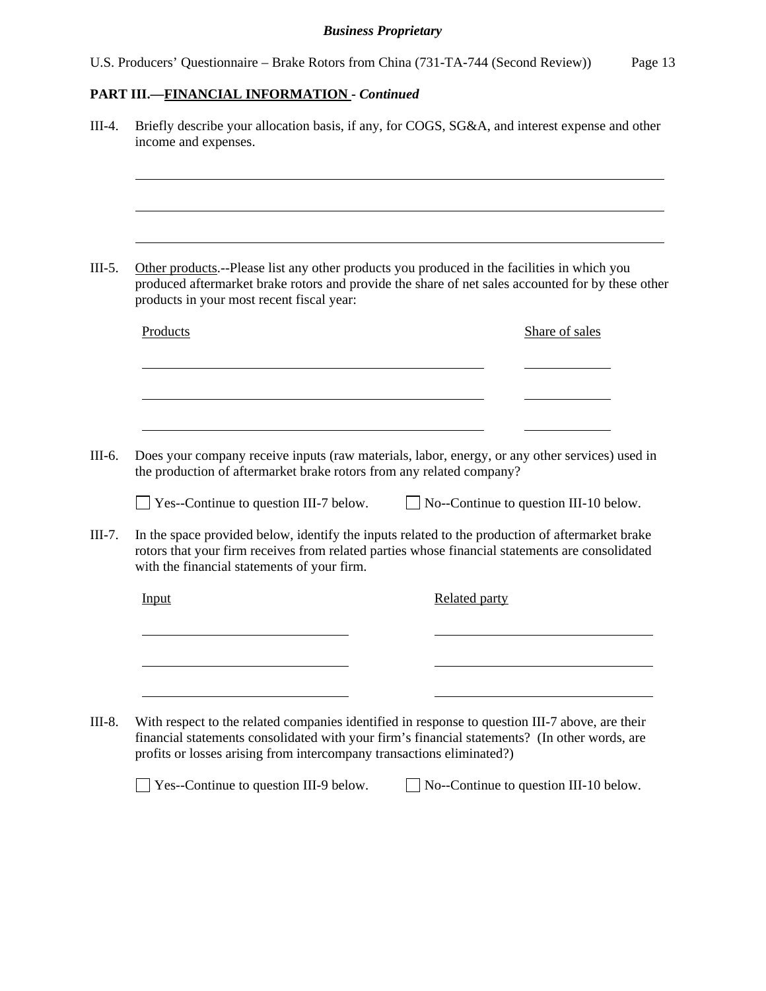# **PART III.—FINANCIAL INFORMATION -** *Continued*

| products in your most recent fiscal year: |                                                                                                                                                                        |                      | Other products.--Please list any other products you produced in the facilities in which you<br>produced aftermarket brake rotors and provide the share of net sales accounted for by these other |
|-------------------------------------------|------------------------------------------------------------------------------------------------------------------------------------------------------------------------|----------------------|--------------------------------------------------------------------------------------------------------------------------------------------------------------------------------------------------|
| Products                                  |                                                                                                                                                                        |                      | Share of sales                                                                                                                                                                                   |
|                                           |                                                                                                                                                                        |                      |                                                                                                                                                                                                  |
|                                           |                                                                                                                                                                        |                      |                                                                                                                                                                                                  |
|                                           | Does your company receive inputs (raw materials, labor, energy, or any other services) used in<br>the production of aftermarket brake rotors from any related company? |                      |                                                                                                                                                                                                  |
|                                           | $\Box$ Yes--Continue to question III-7 below.                                                                                                                          |                      | $\Box$ No--Continue to question III-10 below.                                                                                                                                                    |
|                                           |                                                                                                                                                                        |                      |                                                                                                                                                                                                  |
|                                           | rotors that your firm receives from related parties whose financial statements are consolidated<br>with the financial statements of your firm.                         |                      |                                                                                                                                                                                                  |
| Input                                     |                                                                                                                                                                        | <b>Related party</b> | In the space provided below, identify the inputs related to the production of aftermarket brake                                                                                                  |
|                                           |                                                                                                                                                                        |                      |                                                                                                                                                                                                  |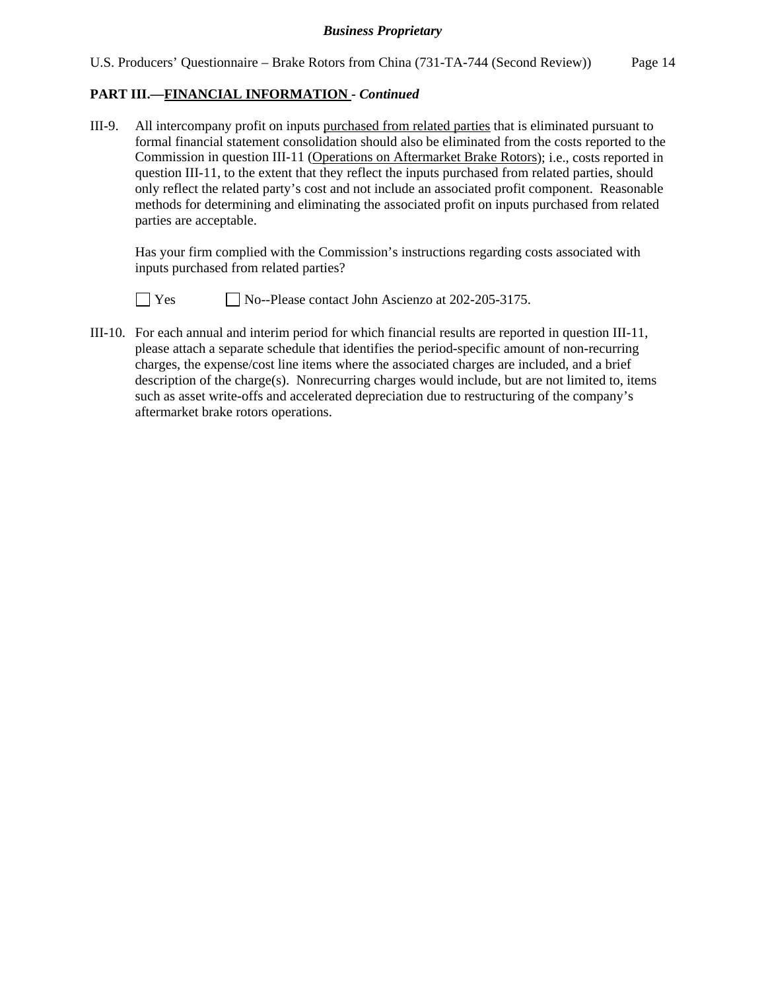## **PART III.—FINANCIAL INFORMATION -** *Continued*

III-9. All intercompany profit on inputs purchased from related parties that is eliminated pursuant to formal financial statement consolidation should also be eliminated from the costs reported to the Commission in question III-11 (Operations on Aftermarket Brake Rotors); i.e., costs reported in question III-11, to the extent that they reflect the inputs purchased from related parties, should only reflect the related party's cost and not include an associated profit component. Reasonable methods for determining and eliminating the associated profit on inputs purchased from related parties are acceptable.

 Has your firm complied with the Commission's instructions regarding costs associated with inputs purchased from related parties?



 $\Box$  Yes  $\Box$  No--Please contact John Ascienzo at 202-205-3175.

III-10. For each annual and interim period for which financial results are reported in question III-11, please attach a separate schedule that identifies the period-specific amount of non-recurring charges, the expense/cost line items where the associated charges are included, and a brief description of the charge(s). Nonrecurring charges would include, but are not limited to, items such as asset write-offs and accelerated depreciation due to restructuring of the company's aftermarket brake rotors operations.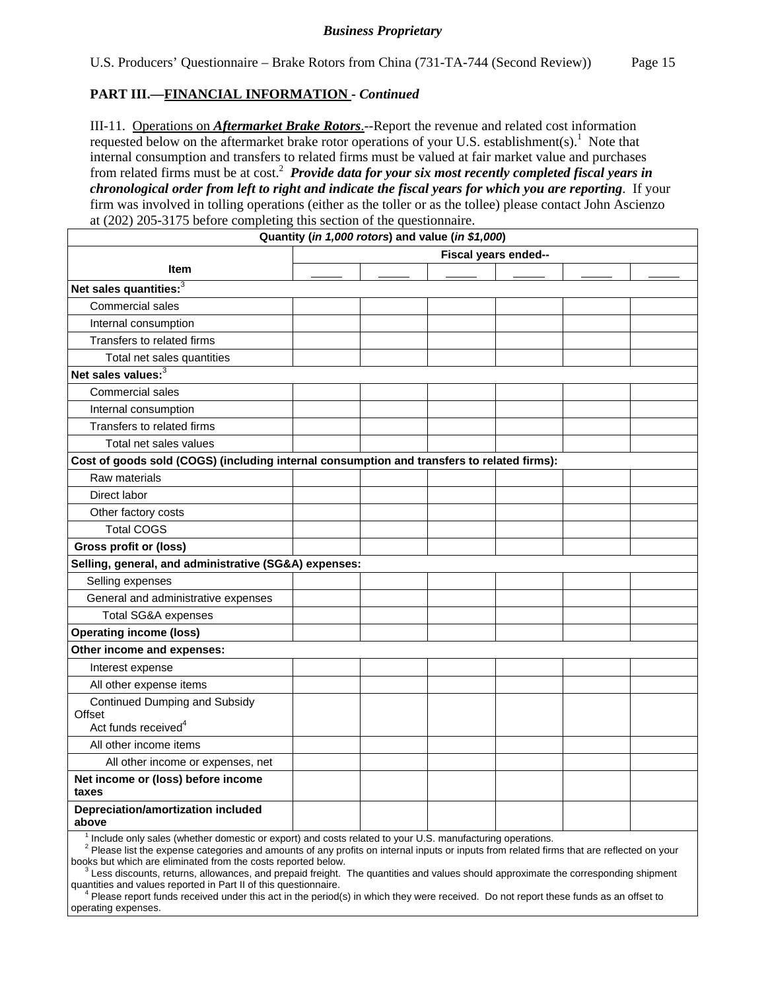### **PART III.—FINANCIAL INFORMATION -** *Continued*

III-11. Operations on *Aftermarket Brake Rotors*.--Report the revenue and related cost information requested below on the aftermarket brake rotor operations of your U.S. establishment(s).<sup>1</sup> Note that internal consumption and transfers to related firms must be valued at fair market value and purchases from related firms must be at cost.<sup>2</sup> *Provide data for your six most recently completed fiscal years in chronological order from left to right and indicate the fiscal years for which you are reporting*. If your firm was involved in tolling operations (either as the toller or as the tollee) please contact John Ascienzo at (202) 205-3175 before completing this section of the questionnaire.

|                                                                                            | Quantity (in 1,000 rotors) and value (in \$1,000) |                      |  |
|--------------------------------------------------------------------------------------------|---------------------------------------------------|----------------------|--|
|                                                                                            |                                                   | Fiscal years ended-- |  |
| Item                                                                                       |                                                   |                      |  |
| Net sales quantities: <sup>3</sup>                                                         |                                                   |                      |  |
| Commercial sales                                                                           |                                                   |                      |  |
| Internal consumption                                                                       |                                                   |                      |  |
| Transfers to related firms                                                                 |                                                   |                      |  |
| Total net sales quantities                                                                 |                                                   |                      |  |
| Net sales values: <sup>3</sup>                                                             |                                                   |                      |  |
| Commercial sales                                                                           |                                                   |                      |  |
| Internal consumption                                                                       |                                                   |                      |  |
| Transfers to related firms                                                                 |                                                   |                      |  |
| Total net sales values                                                                     |                                                   |                      |  |
| Cost of goods sold (COGS) (including internal consumption and transfers to related firms): |                                                   |                      |  |
| Raw materials                                                                              |                                                   |                      |  |
| Direct labor                                                                               |                                                   |                      |  |
| Other factory costs                                                                        |                                                   |                      |  |
| <b>Total COGS</b>                                                                          |                                                   |                      |  |
| <b>Gross profit or (loss)</b>                                                              |                                                   |                      |  |
| Selling, general, and administrative (SG&A) expenses:                                      |                                                   |                      |  |
| Selling expenses                                                                           |                                                   |                      |  |
| General and administrative expenses                                                        |                                                   |                      |  |
| Total SG&A expenses                                                                        |                                                   |                      |  |
| <b>Operating income (loss)</b>                                                             |                                                   |                      |  |
| Other income and expenses:                                                                 |                                                   |                      |  |
| Interest expense                                                                           |                                                   |                      |  |
| All other expense items                                                                    |                                                   |                      |  |
| <b>Continued Dumping and Subsidy</b>                                                       |                                                   |                      |  |
| Offset<br>Act funds received <sup>4</sup>                                                  |                                                   |                      |  |
| All other income items                                                                     |                                                   |                      |  |
| All other income or expenses, net                                                          |                                                   |                      |  |
| Net income or (loss) before income                                                         |                                                   |                      |  |
| taxes                                                                                      |                                                   |                      |  |
| Depreciation/amortization included<br>above                                                |                                                   |                      |  |

<sup>1</sup> Include only sales (whether domestic or export) and costs related to your U.S. manufacturing operations.

<sup>2</sup> Please list the expense categories and amounts of any profits on internal inputs or inputs from related firms that are reflected on your books but which are eliminated from the costs reported below.

<sup>3</sup> Less discounts, returns, allowances, and prepaid freight. The quantities and values should approximate the corresponding shipment quantities and values reported in Part II of this questionnaire.

<sup>4</sup> Please report funds received under this act in the period(s) in which they were received. Do not report these funds as an offset to operating expenses.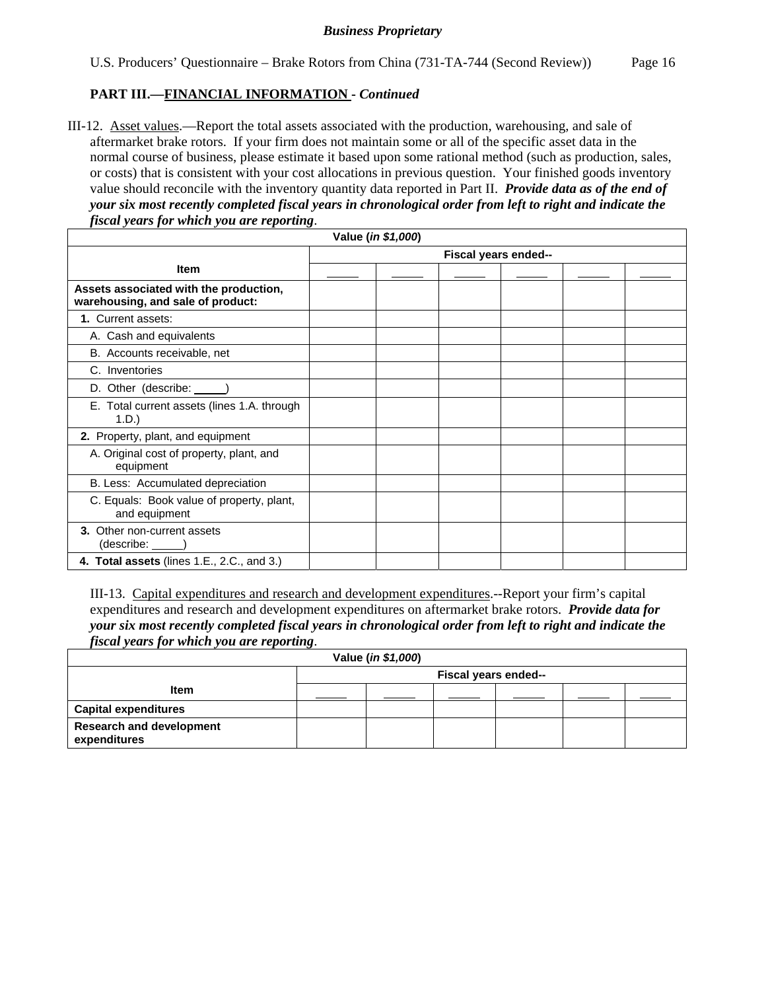## **PART III.—FINANCIAL INFORMATION -** *Continued*

III-12. Asset values.—Report the total assets associated with the production, warehousing, and sale of aftermarket brake rotors. If your firm does not maintain some or all of the specific asset data in the normal course of business, please estimate it based upon some rational method (such as production, sales, or costs) that is consistent with your cost allocations in previous question. Your finished goods inventory value should reconcile with the inventory quantity data reported in Part II. *Provide data as of the end of your six most recently completed fiscal years in chronological order from left to right and indicate the fiscal years for which you are reporting*.

| Value (in \$1,000)                                                          |  |  |                      |  |  |  |
|-----------------------------------------------------------------------------|--|--|----------------------|--|--|--|
|                                                                             |  |  | Fiscal years ended-- |  |  |  |
| <b>Item</b>                                                                 |  |  |                      |  |  |  |
| Assets associated with the production,<br>warehousing, and sale of product: |  |  |                      |  |  |  |
| 1. Current assets:                                                          |  |  |                      |  |  |  |
| A. Cash and equivalents                                                     |  |  |                      |  |  |  |
| B. Accounts receivable, net                                                 |  |  |                      |  |  |  |
| C. Inventories                                                              |  |  |                      |  |  |  |
| D. Other (describe: _____)                                                  |  |  |                      |  |  |  |
| E. Total current assets (lines 1.A. through<br>1.D.)                        |  |  |                      |  |  |  |
| 2. Property, plant, and equipment                                           |  |  |                      |  |  |  |
| A. Original cost of property, plant, and<br>equipment                       |  |  |                      |  |  |  |
| B. Less: Accumulated depreciation                                           |  |  |                      |  |  |  |
| C. Equals: Book value of property, plant,<br>and equipment                  |  |  |                      |  |  |  |
| 3. Other non-current assets<br>$(describe:$ $)$                             |  |  |                      |  |  |  |
| 4. Total assets (lines 1.E., 2.C., and 3.)                                  |  |  |                      |  |  |  |

III-13. Capital expenditures and research and development expenditures.--Report your firm's capital expenditures and research and development expenditures on aftermarket brake rotors. *Provide data for your six most recently completed fiscal years in chronological order from left to right and indicate the fiscal years for which you are reporting*.

| Value (in \$1,000)                              |                      |  |  |  |  |  |  |  |  |
|-------------------------------------------------|----------------------|--|--|--|--|--|--|--|--|
|                                                 | Fiscal years ended-- |  |  |  |  |  |  |  |  |
| <b>Item</b>                                     |                      |  |  |  |  |  |  |  |  |
| <b>Capital expenditures</b>                     |                      |  |  |  |  |  |  |  |  |
| <b>Research and development</b><br>expenditures |                      |  |  |  |  |  |  |  |  |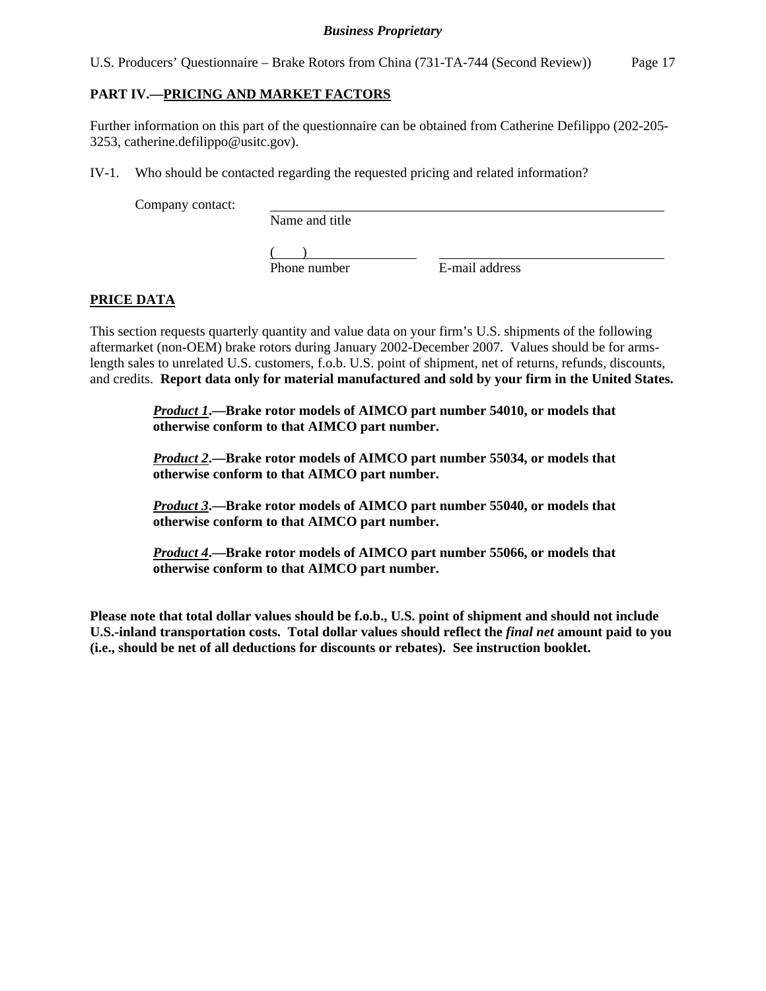U.S. Producers' Questionnaire – Brake Rotors from China (731-TA-744 (Second Review)) Page 17

## **PART IV.—PRICING AND MARKET FACTORS**

Further information on this part of the questionnaire can be obtained from Catherine Defilippo (202-205- 3253, catherine.defilippo@usitc.gov).

IV-1. Who should be contacted regarding the requested pricing and related information?

Company contact:

Name and title

 $\frac{1}{2}$ Phone number

E-mail address

## **PRICE DATA**

This section requests quarterly quantity and value data on your firm's U.S. shipments of the following aftermarket (non-OEM) brake rotors during January 2002-December 2007. Values should be for armslength sales to unrelated U.S. customers, f.o.b. U.S. point of shipment, net of returns, refunds, discounts, and credits. **Report data only for material manufactured and sold by your firm in the United States.**

> *Product 1***.—Brake rotor models of AIMCO part number 54010, or models that otherwise conform to that AIMCO part number.**

> *Product 2***.—Brake rotor models of AIMCO part number 55034, or models that otherwise conform to that AIMCO part number.**

> *Product 3***.—Brake rotor models of AIMCO part number 55040, or models that otherwise conform to that AIMCO part number.**

> *Product 4***.—Brake rotor models of AIMCO part number 55066, or models that otherwise conform to that AIMCO part number.**

**Please note that total dollar values should be f.o.b., U.S. point of shipment and should not include U.S.-inland transportation costs. Total dollar values should reflect the** *final net* **amount paid to you (i.e., should be net of all deductions for discounts or rebates). See instruction booklet.**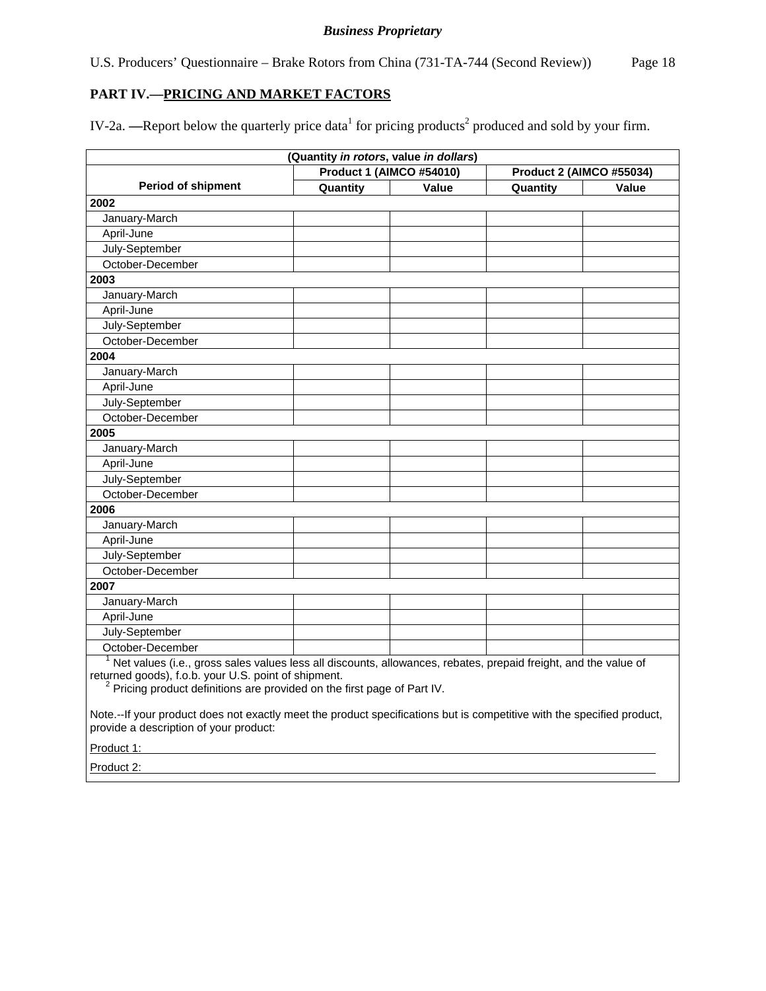U.S. Producers' Questionnaire – Brake Rotors from China (731-TA-744 (Second Review)) Page 18

## **PART IV.—PRICING AND MARKET FACTORS**

IV-2a. —Report below the quarterly price data<sup>1</sup> for pricing products<sup>2</sup> produced and sold by your firm.

|                                                                                                                                                                                                                                                                | (Quantity in rotors, value in dollars) |       |          |       |  |  |
|----------------------------------------------------------------------------------------------------------------------------------------------------------------------------------------------------------------------------------------------------------------|----------------------------------------|-------|----------|-------|--|--|
| <b>Product 1 (AIMCO #54010)</b><br><b>Product 2 (AIMCO #55034)</b>                                                                                                                                                                                             |                                        |       |          |       |  |  |
| <b>Period of shipment</b>                                                                                                                                                                                                                                      | Quantity                               | Value | Quantity | Value |  |  |
| 2002                                                                                                                                                                                                                                                           |                                        |       |          |       |  |  |
| January-March                                                                                                                                                                                                                                                  |                                        |       |          |       |  |  |
| April-June                                                                                                                                                                                                                                                     |                                        |       |          |       |  |  |
| July-September                                                                                                                                                                                                                                                 |                                        |       |          |       |  |  |
| October-December                                                                                                                                                                                                                                               |                                        |       |          |       |  |  |
| 2003                                                                                                                                                                                                                                                           |                                        |       |          |       |  |  |
| January-March                                                                                                                                                                                                                                                  |                                        |       |          |       |  |  |
| April-June                                                                                                                                                                                                                                                     |                                        |       |          |       |  |  |
| July-September                                                                                                                                                                                                                                                 |                                        |       |          |       |  |  |
| October-December                                                                                                                                                                                                                                               |                                        |       |          |       |  |  |
| 2004                                                                                                                                                                                                                                                           |                                        |       |          |       |  |  |
| January-March                                                                                                                                                                                                                                                  |                                        |       |          |       |  |  |
| April-June                                                                                                                                                                                                                                                     |                                        |       |          |       |  |  |
| July-September                                                                                                                                                                                                                                                 |                                        |       |          |       |  |  |
| October-December                                                                                                                                                                                                                                               |                                        |       |          |       |  |  |
| 2005                                                                                                                                                                                                                                                           |                                        |       |          |       |  |  |
| January-March                                                                                                                                                                                                                                                  |                                        |       |          |       |  |  |
| April-June                                                                                                                                                                                                                                                     |                                        |       |          |       |  |  |
| July-September                                                                                                                                                                                                                                                 |                                        |       |          |       |  |  |
| October-December                                                                                                                                                                                                                                               |                                        |       |          |       |  |  |
| 2006                                                                                                                                                                                                                                                           |                                        |       |          |       |  |  |
| January-March                                                                                                                                                                                                                                                  |                                        |       |          |       |  |  |
| April-June                                                                                                                                                                                                                                                     |                                        |       |          |       |  |  |
| July-September                                                                                                                                                                                                                                                 |                                        |       |          |       |  |  |
| October-December                                                                                                                                                                                                                                               |                                        |       |          |       |  |  |
| 2007                                                                                                                                                                                                                                                           |                                        |       |          |       |  |  |
| January-March                                                                                                                                                                                                                                                  |                                        |       |          |       |  |  |
| April-June                                                                                                                                                                                                                                                     |                                        |       |          |       |  |  |
| July-September                                                                                                                                                                                                                                                 |                                        |       |          |       |  |  |
| October-December                                                                                                                                                                                                                                               |                                        |       |          |       |  |  |
| Net values (i.e., gross sales values less all discounts, allowances, rebates, prepaid freight, and the value of<br>returned goods), f.o.b. your U.S. point of shipment.<br><sup>2</sup> Pricing product definitions are provided on the first page of Part IV. |                                        |       |          |       |  |  |
| Note.--If your product does not exactly meet the product specifications but is competitive with the specified product,                                                                                                                                         |                                        |       |          |       |  |  |

provide a description of your product:

Product 1:

Product 2: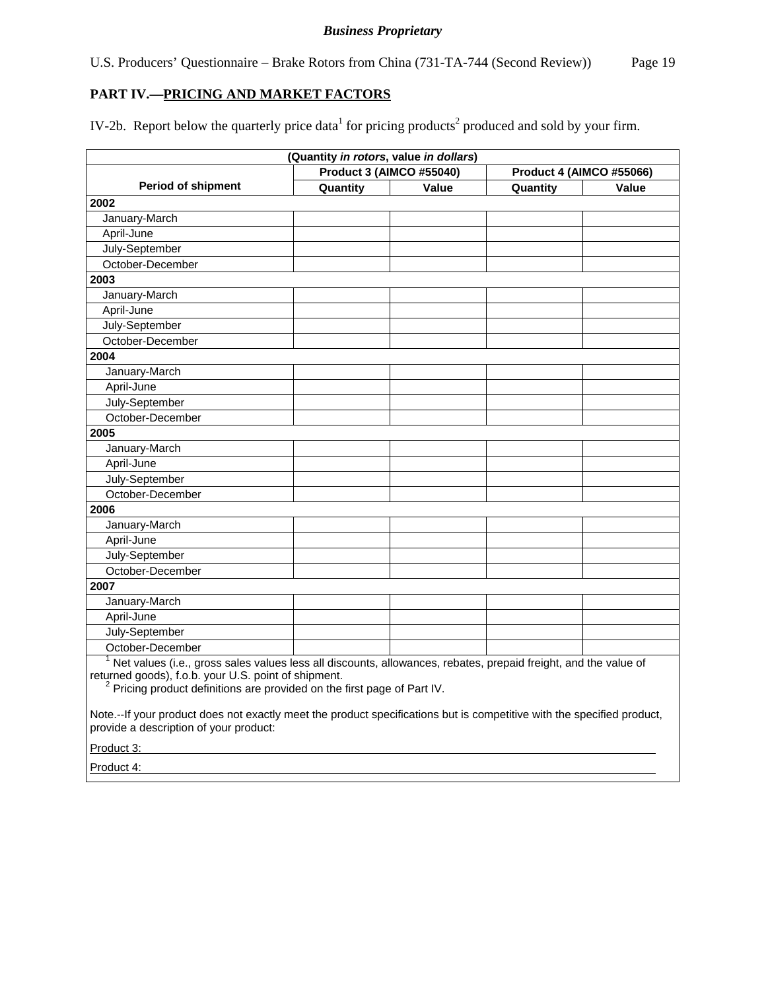U.S. Producers' Questionnaire – Brake Rotors from China (731-TA-744 (Second Review)) Page 19

## **PART IV.—PRICING AND MARKET FACTORS**

IV-2b. Report below the quarterly price data<sup>1</sup> for pricing products<sup>2</sup> produced and sold by your firm.

|                                                                                                                                                                                                                                                                                                                                                                                          |          | (Quantity in rotors, value in dollars) |          |       |  |  |
|------------------------------------------------------------------------------------------------------------------------------------------------------------------------------------------------------------------------------------------------------------------------------------------------------------------------------------------------------------------------------------------|----------|----------------------------------------|----------|-------|--|--|
| <b>Product 3 (AIMCO #55040)</b><br><b>Product 4 (AIMCO #55066)</b>                                                                                                                                                                                                                                                                                                                       |          |                                        |          |       |  |  |
| <b>Period of shipment</b>                                                                                                                                                                                                                                                                                                                                                                | Quantity | Value                                  | Quantity | Value |  |  |
| 2002                                                                                                                                                                                                                                                                                                                                                                                     |          |                                        |          |       |  |  |
| January-March                                                                                                                                                                                                                                                                                                                                                                            |          |                                        |          |       |  |  |
| April-June                                                                                                                                                                                                                                                                                                                                                                               |          |                                        |          |       |  |  |
| July-September                                                                                                                                                                                                                                                                                                                                                                           |          |                                        |          |       |  |  |
| October-December                                                                                                                                                                                                                                                                                                                                                                         |          |                                        |          |       |  |  |
| 2003                                                                                                                                                                                                                                                                                                                                                                                     |          |                                        |          |       |  |  |
| January-March                                                                                                                                                                                                                                                                                                                                                                            |          |                                        |          |       |  |  |
| April-June                                                                                                                                                                                                                                                                                                                                                                               |          |                                        |          |       |  |  |
| July-September                                                                                                                                                                                                                                                                                                                                                                           |          |                                        |          |       |  |  |
| October-December                                                                                                                                                                                                                                                                                                                                                                         |          |                                        |          |       |  |  |
| 2004                                                                                                                                                                                                                                                                                                                                                                                     |          |                                        |          |       |  |  |
| January-March                                                                                                                                                                                                                                                                                                                                                                            |          |                                        |          |       |  |  |
| April-June                                                                                                                                                                                                                                                                                                                                                                               |          |                                        |          |       |  |  |
| July-September                                                                                                                                                                                                                                                                                                                                                                           |          |                                        |          |       |  |  |
| October-December                                                                                                                                                                                                                                                                                                                                                                         |          |                                        |          |       |  |  |
| 2005                                                                                                                                                                                                                                                                                                                                                                                     |          |                                        |          |       |  |  |
| January-March                                                                                                                                                                                                                                                                                                                                                                            |          |                                        |          |       |  |  |
| April-June                                                                                                                                                                                                                                                                                                                                                                               |          |                                        |          |       |  |  |
| July-September                                                                                                                                                                                                                                                                                                                                                                           |          |                                        |          |       |  |  |
| October-December                                                                                                                                                                                                                                                                                                                                                                         |          |                                        |          |       |  |  |
| 2006                                                                                                                                                                                                                                                                                                                                                                                     |          |                                        |          |       |  |  |
| January-March                                                                                                                                                                                                                                                                                                                                                                            |          |                                        |          |       |  |  |
| April-June                                                                                                                                                                                                                                                                                                                                                                               |          |                                        |          |       |  |  |
| July-September                                                                                                                                                                                                                                                                                                                                                                           |          |                                        |          |       |  |  |
| October-December                                                                                                                                                                                                                                                                                                                                                                         |          |                                        |          |       |  |  |
| 2007                                                                                                                                                                                                                                                                                                                                                                                     |          |                                        |          |       |  |  |
| January-March                                                                                                                                                                                                                                                                                                                                                                            |          |                                        |          |       |  |  |
| April-June                                                                                                                                                                                                                                                                                                                                                                               |          |                                        |          |       |  |  |
| July-September                                                                                                                                                                                                                                                                                                                                                                           |          |                                        |          |       |  |  |
| October-December                                                                                                                                                                                                                                                                                                                                                                         |          |                                        |          |       |  |  |
| Net values (i.e., gross sales values less all discounts, allowances, rebates, prepaid freight, and the value of<br>returned goods), f.o.b. your U.S. point of shipment.<br><sup>2</sup> Pricing product definitions are provided on the first page of Part IV.<br>Note.--If your product does not exactly meet the product specifications but is competitive with the specified product, |          |                                        |          |       |  |  |

provide a description of your product:

Product 3:

Product 4: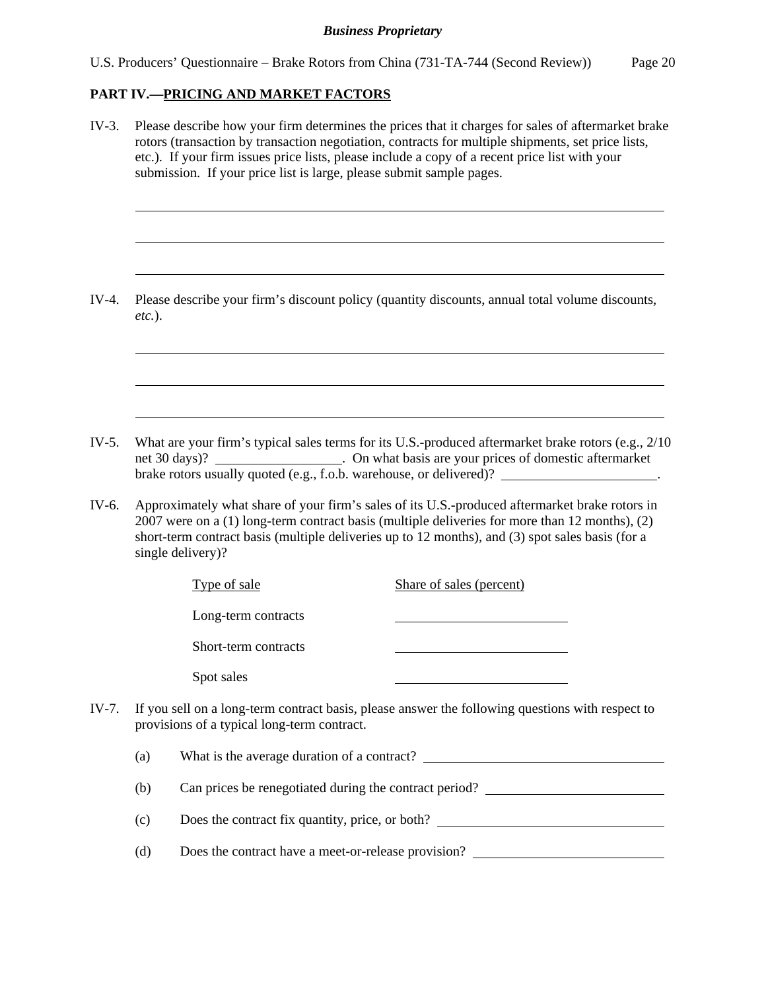#### **PART IV.—PRICING AND MARKET FACTORS**

l

 $\overline{a}$ 

 $\overline{a}$ 

 $\overline{a}$ 

 $\overline{a}$ 

 $\overline{a}$ 

IV-3. Please describe how your firm determines the prices that it charges for sales of aftermarket brake rotors (transaction by transaction negotiation, contracts for multiple shipments, set price lists, etc.). If your firm issues price lists, please include a copy of a recent price list with your submission. If your price list is large, please submit sample pages.

IV-4. Please describe your firm's discount policy (quantity discounts, annual total volume discounts, *etc.*).

- IV-5. What are your firm's typical sales terms for its U.S.-produced aftermarket brake rotors (e.g., 2/10 net 30 days)? . On what basis are your prices of domestic aftermarket brake rotors usually quoted (e.g., f.o.b. warehouse, or delivered)? \_\_\_\_\_\_\_\_\_\_\_\_\_\_\_\_\_\_\_\_.
- IV-6. Approximately what share of your firm's sales of its U.S.-produced aftermarket brake rotors in 2007 were on a (1) long-term contract basis (multiple deliveries for more than 12 months), (2) short-term contract basis (multiple deliveries up to 12 months), and (3) spot sales basis (for a single delivery)?

| Type of sale                                | Share of sales (percent)                                                                               |
|---------------------------------------------|--------------------------------------------------------------------------------------------------------|
| Long-term contracts                         |                                                                                                        |
| Short-term contracts                        |                                                                                                        |
| Spot sales                                  |                                                                                                        |
| provisions of a typical long-term contract. | IV-7. If you sell on a long-term contract basis, please answer the following questions with respect to |

(a) What is the average duration of a contract?

(b) Can prices be renegotiated during the contract period?

(c) Does the contract fix quantity, price, or both?

(d) Does the contract have a meet-or-release provision?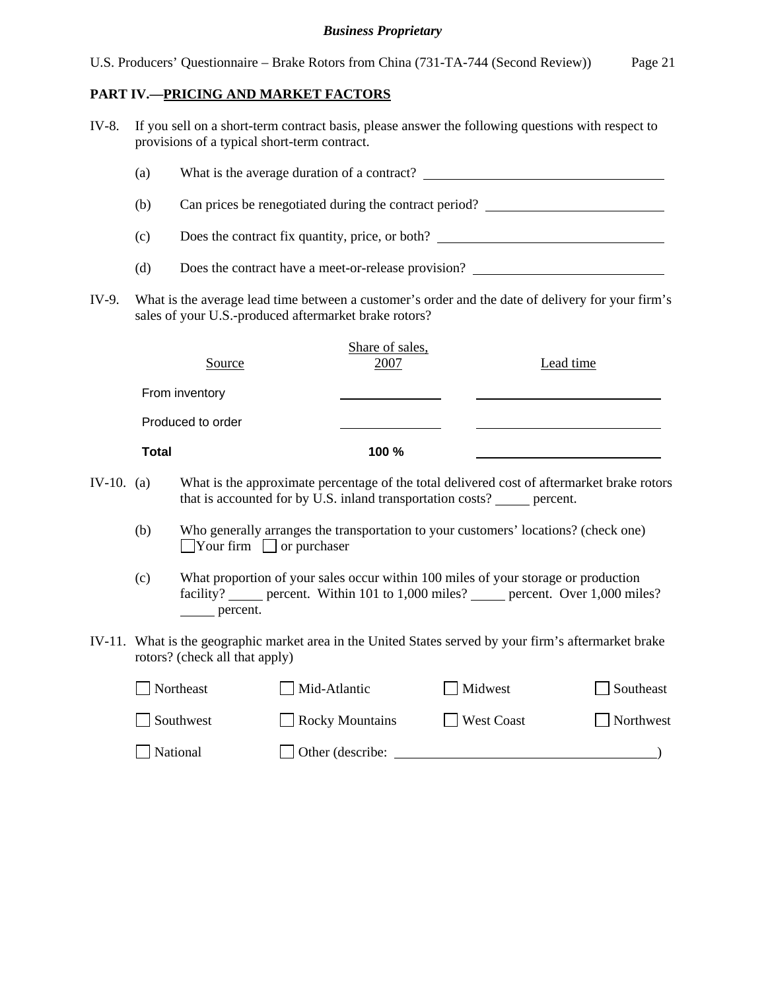#### **PART IV.—PRICING AND MARKET FACTORS**

| IV-8. |     | If you sell on a short-term contract basis, please answer the following questions with respect to<br>provisions of a typical short-term contract. |  |  |  |  |
|-------|-----|---------------------------------------------------------------------------------------------------------------------------------------------------|--|--|--|--|
|       | (a) | What is the average duration of a contract?                                                                                                       |  |  |  |  |
|       | (b) | Can prices be renegotiated during the contract period?                                                                                            |  |  |  |  |
|       | (c) | Does the contract fix quantity, price, or both?                                                                                                   |  |  |  |  |

- (d) Does the contract have a meet-or-release provision?
- IV-9. What is the average lead time between a customer's order and the date of delivery for your firm's sales of your U.S.-produced aftermarket brake rotors?

| Source            | Share of sales,<br>2007 | Lead time |
|-------------------|-------------------------|-----------|
| From inventory    |                         |           |
| Produced to order |                         |           |
| <b>Total</b>      | 100 %                   |           |

- IV-10. (a) What is the approximate percentage of the total delivered cost of aftermarket brake rotors that is accounted for by  $\overline{U.S.}$  inland transportation costs? percent.
	- (b) Who generally arranges the transportation to your customers' locations? (check one)  $\Box$  Your firm  $\Box$  or purchaser
	- (c) What proportion of your sales occur within 100 miles of your storage or production facility? percent. Within 101 to 1,000 miles? percent. Over 1,000 miles? percent.
- IV-11. What is the geographic market area in the United States served by your firm's aftermarket brake rotors? (check all that apply)

| Northeast | Mid-Atlantic           | Midwest    | Southeast |
|-----------|------------------------|------------|-----------|
| Southwest | <b>Rocky Mountains</b> | West Coast | Northwest |
| National  | Other (describe:       |            |           |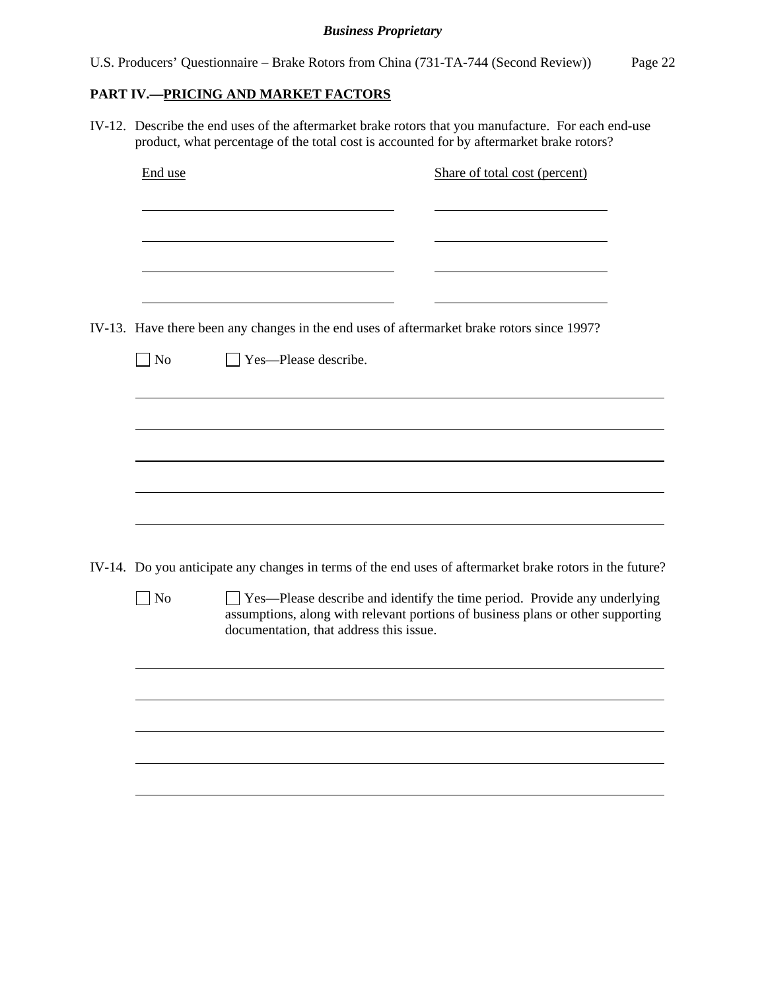# **PART IV.—PRICING AND MARKET FACTORS**

IV-12. Describe the end uses of the aftermarket brake rotors that you manufacture. For each end-use product, what percentage of the total cost is accounted for by aftermarket brake rotors?

| End use                 | Share of total cost (percent)                                                                                                                                                                            |
|-------------------------|----------------------------------------------------------------------------------------------------------------------------------------------------------------------------------------------------------|
|                         |                                                                                                                                                                                                          |
|                         | IV-13. Have there been any changes in the end uses of aftermarket brake rotors since 1997?                                                                                                               |
| $\n  o$                 | Yes-Please describe.                                                                                                                                                                                     |
|                         |                                                                                                                                                                                                          |
|                         |                                                                                                                                                                                                          |
|                         | IV-14. Do you anticipate any changes in terms of the end uses of aftermarket brake rotors in the future?                                                                                                 |
| $\sqrt{\phantom{a}}$ No | □ Yes—Please describe and identify the time period. Provide any underlying<br>assumptions, along with relevant portions of business plans or other supporting<br>documentation, that address this issue. |
|                         |                                                                                                                                                                                                          |
|                         |                                                                                                                                                                                                          |
|                         |                                                                                                                                                                                                          |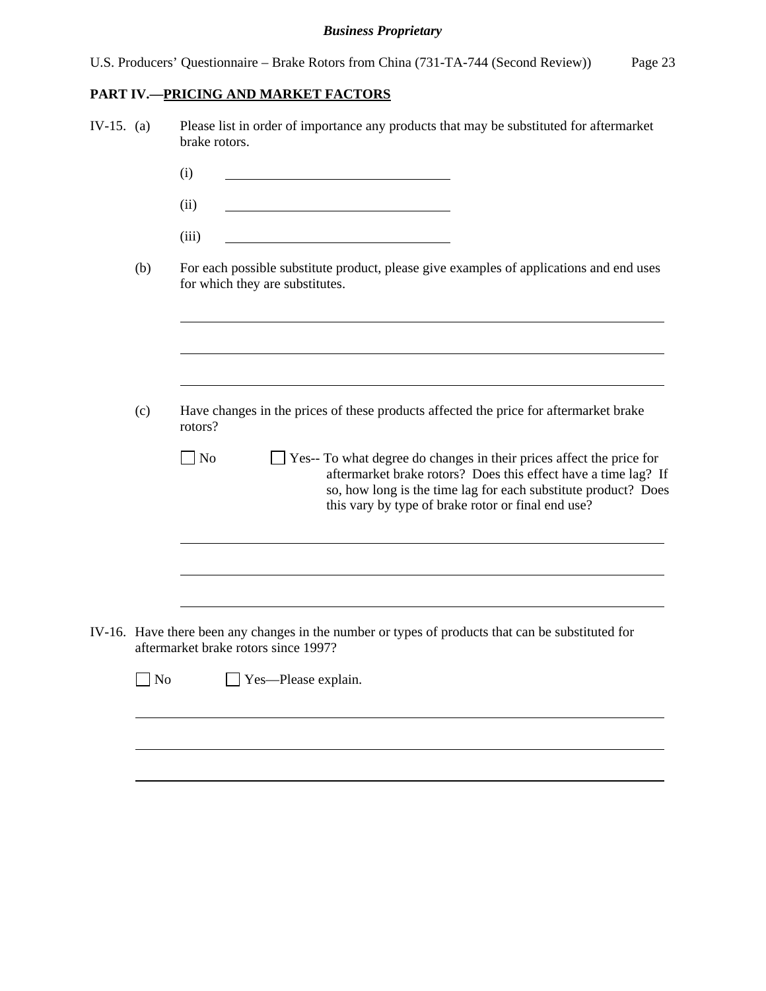# **PART IV.—PRICING AND MARKET FACTORS**

| IV-15. $(a)$ |           | Please list in order of importance any products that may be substituted for aftermarket<br>brake rotors.                                                                                                                                                                           |
|--------------|-----------|------------------------------------------------------------------------------------------------------------------------------------------------------------------------------------------------------------------------------------------------------------------------------------|
|              |           | (i)                                                                                                                                                                                                                                                                                |
|              |           | (ii)                                                                                                                                                                                                                                                                               |
|              |           | (iii)                                                                                                                                                                                                                                                                              |
|              | (b)       | For each possible substitute product, please give examples of applications and end uses<br>for which they are substitutes.                                                                                                                                                         |
|              |           |                                                                                                                                                                                                                                                                                    |
|              | (c)       | Have changes in the prices of these products affected the price for aftermarket brake<br>rotors?                                                                                                                                                                                   |
|              |           | $\Box$ No<br>$\Box$ Yes-- To what degree do changes in their prices affect the price for<br>aftermarket brake rotors? Does this effect have a time lag? If<br>so, how long is the time lag for each substitute product? Does<br>this vary by type of brake rotor or final end use? |
|              |           |                                                                                                                                                                                                                                                                                    |
|              |           | IV-16. Have there been any changes in the number or types of products that can be substituted for<br>aftermarket brake rotors since 1997?                                                                                                                                          |
|              | $\Box$ No | $\Box$ Yes—Please explain.                                                                                                                                                                                                                                                         |
|              |           |                                                                                                                                                                                                                                                                                    |
|              |           |                                                                                                                                                                                                                                                                                    |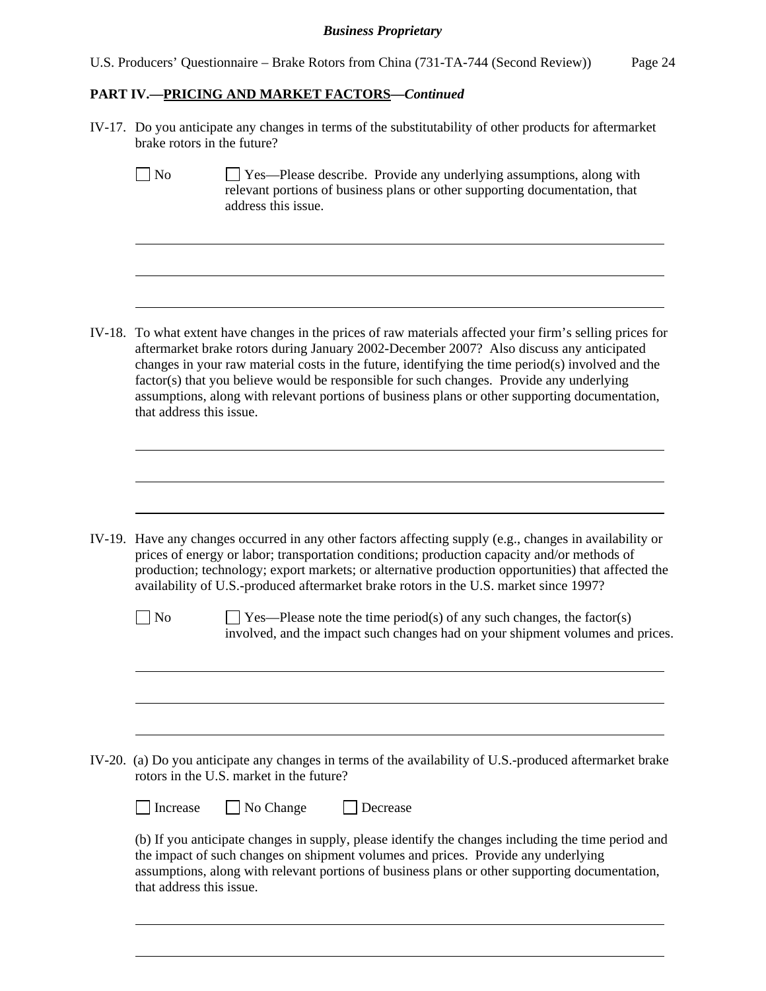|  |  | U.S. Producers' Questionnaire – Brake Rotors from China (731-TA-744 (Second Review)) | Page 24 |
|--|--|--------------------------------------------------------------------------------------|---------|
|  |  |                                                                                      |         |

### **PART IV.—PRICING AND MARKET FACTORS***—Continued*

 $\overline{a}$ 

 $\overline{a}$ 

 $\overline{a}$ 

 $\overline{a}$ 

 $\overline{a}$ 

 $\overline{a}$ 

l

 $\overline{a}$ 

 $\overline{a}$ 

 $\overline{a}$ 

 $\overline{a}$ 

IV-17. Do you anticipate any changes in terms of the substitutability of other products for aftermarket brake rotors in the future?

| <b>No</b> | $\Box$ Yes—Please describe. Provide any underlying assumptions, along with  |
|-----------|-----------------------------------------------------------------------------|
|           | relevant portions of business plans or other supporting documentation, that |
|           | address this issue.                                                         |

IV-18. To what extent have changes in the prices of raw materials affected your firm's selling prices for aftermarket brake rotors during January 2002-December 2007? Also discuss any anticipated changes in your raw material costs in the future, identifying the time period(s) involved and the factor(s) that you believe would be responsible for such changes. Provide any underlying assumptions, along with relevant portions of business plans or other supporting documentation, that address this issue.

IV-19. Have any changes occurred in any other factors affecting supply (e.g., changes in availability or prices of energy or labor; transportation conditions; production capacity and/or methods of production; technology; export markets; or alternative production opportunities) that affected the availability of U.S.-produced aftermarket brake rotors in the U.S. market since 1997?

 $\Box$  No  $\Box$  Yes—Please note the time period(s) of any such changes, the factor(s) involved, and the impact such changes had on your shipment volumes and prices.

IV-20. (a) Do you anticipate any changes in terms of the availability of U.S.-produced aftermarket brake rotors in the U.S. market in the future?

 $\Box$  Increase  $\Box$  No Change  $\Box$  Decrease

(b) If you anticipate changes in supply, please identify the changes including the time period and the impact of such changes on shipment volumes and prices. Provide any underlying assumptions, along with relevant portions of business plans or other supporting documentation, that address this issue.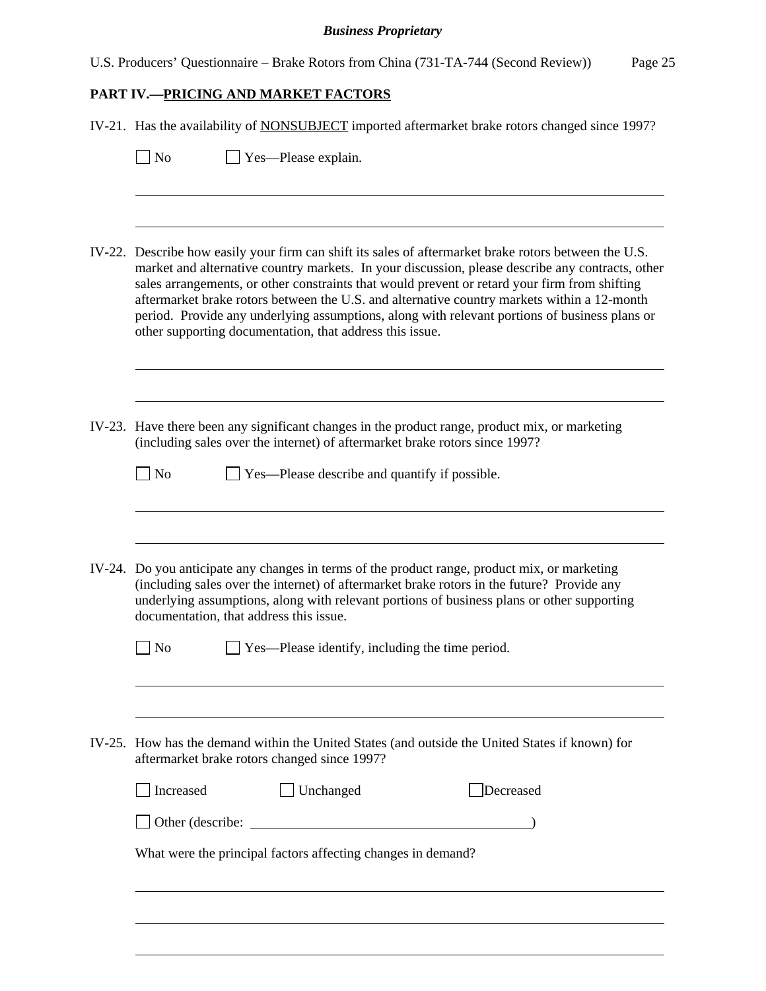|  |  |  |  |  |  | U.S. Producers' Questionnaire – Brake Rotors from China (731-TA-744 (Second Review)) | Page 25 |
|--|--|--|--|--|--|--------------------------------------------------------------------------------------|---------|
|--|--|--|--|--|--|--------------------------------------------------------------------------------------|---------|

# **PART IV.—PRICING AND MARKET FACTORS**

| IV-21. Has the availability of NONSUBJECT imported aftermarket brake rotors changed since 1997?                                                                                                                                                                                                                                                                                                                                                                                                                                                                        |  |  |  |  |
|------------------------------------------------------------------------------------------------------------------------------------------------------------------------------------------------------------------------------------------------------------------------------------------------------------------------------------------------------------------------------------------------------------------------------------------------------------------------------------------------------------------------------------------------------------------------|--|--|--|--|
| Yes—Please explain.<br>$\blacksquare$ No                                                                                                                                                                                                                                                                                                                                                                                                                                                                                                                               |  |  |  |  |
|                                                                                                                                                                                                                                                                                                                                                                                                                                                                                                                                                                        |  |  |  |  |
| IV-22. Describe how easily your firm can shift its sales of aftermarket brake rotors between the U.S.<br>market and alternative country markets. In your discussion, please describe any contracts, other<br>sales arrangements, or other constraints that would prevent or retard your firm from shifting<br>aftermarket brake rotors between the U.S. and alternative country markets within a 12-month<br>period. Provide any underlying assumptions, along with relevant portions of business plans or<br>other supporting documentation, that address this issue. |  |  |  |  |
|                                                                                                                                                                                                                                                                                                                                                                                                                                                                                                                                                                        |  |  |  |  |
| IV-23. Have there been any significant changes in the product range, product mix, or marketing<br>(including sales over the internet) of aftermarket brake rotors since 1997?                                                                                                                                                                                                                                                                                                                                                                                          |  |  |  |  |
| $\overline{\phantom{a}}$ No<br>$\Box$ Yes—Please describe and quantify if possible.                                                                                                                                                                                                                                                                                                                                                                                                                                                                                    |  |  |  |  |
|                                                                                                                                                                                                                                                                                                                                                                                                                                                                                                                                                                        |  |  |  |  |
| IV-24. Do you anticipate any changes in terms of the product range, product mix, or marketing<br>(including sales over the internet) of aftermarket brake rotors in the future? Provide any<br>underlying assumptions, along with relevant portions of business plans or other supporting<br>documentation, that address this issue.                                                                                                                                                                                                                                   |  |  |  |  |
| <b>Yes—Please identify, including the time period.</b><br>N <sub>0</sub>                                                                                                                                                                                                                                                                                                                                                                                                                                                                                               |  |  |  |  |
|                                                                                                                                                                                                                                                                                                                                                                                                                                                                                                                                                                        |  |  |  |  |
| IV-25. How has the demand within the United States (and outside the United States if known) for<br>aftermarket brake rotors changed since 1997?                                                                                                                                                                                                                                                                                                                                                                                                                        |  |  |  |  |
| Increased<br>Unchanged<br>Decreased                                                                                                                                                                                                                                                                                                                                                                                                                                                                                                                                    |  |  |  |  |
|                                                                                                                                                                                                                                                                                                                                                                                                                                                                                                                                                                        |  |  |  |  |
| What were the principal factors affecting changes in demand?                                                                                                                                                                                                                                                                                                                                                                                                                                                                                                           |  |  |  |  |
|                                                                                                                                                                                                                                                                                                                                                                                                                                                                                                                                                                        |  |  |  |  |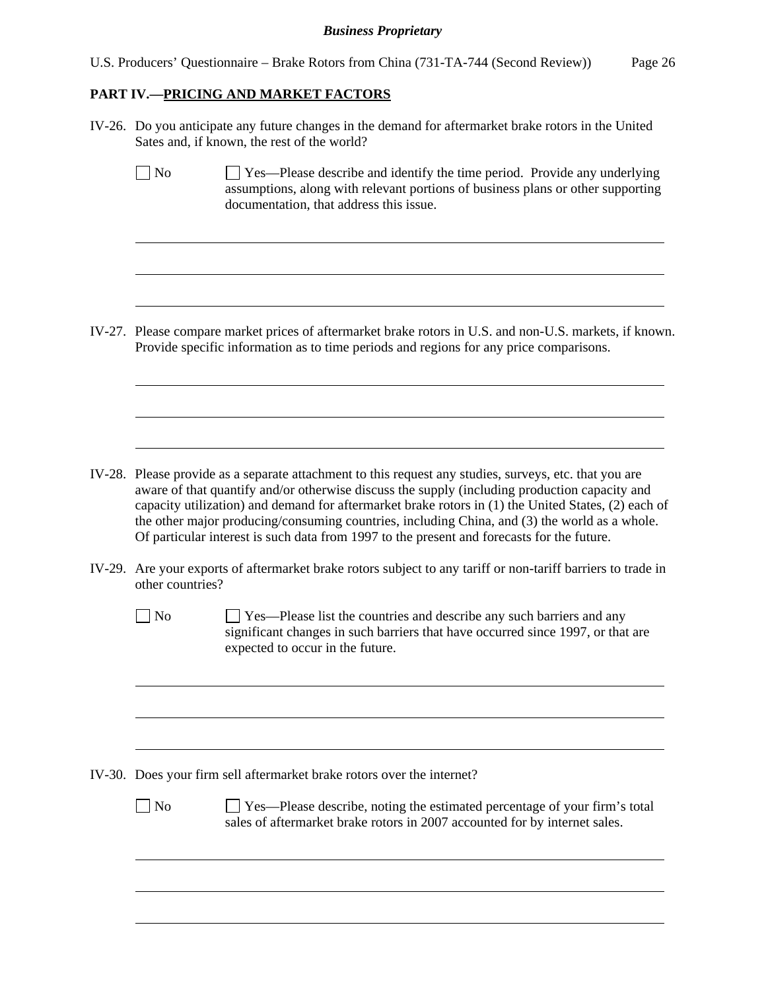U.S. Producers' Questionnaire – Brake Rotors from China (731-TA-744 (Second Review)) Page 26

## **PART IV.—PRICING AND MARKET FACTORS**

 $\overline{a}$ 

 $\overline{a}$ 

 $\overline{a}$ 

 $\overline{a}$ 

 $\overline{a}$ 

 $\overline{a}$ 

 $\overline{a}$ 

 $\overline{a}$ 

 $\overline{a}$ 

 $\overline{a}$ 

 $\overline{a}$ 

 $\overline{a}$ 

IV-26. Do you anticipate any future changes in the demand for aftermarket brake rotors in the United Sates and, if known, the rest of the world?

 $\Box$  No  $\Box$  Yes—Please describe and identify the time period. Provide any underlying assumptions, along with relevant portions of business plans or other supporting documentation, that address this issue.

IV-27. Please compare market prices of aftermarket brake rotors in U.S. and non-U.S. markets, if known. Provide specific information as to time periods and regions for any price comparisons.

- IV-28. Please provide as a separate attachment to this request any studies, surveys, etc. that you are aware of that quantify and/or otherwise discuss the supply (including production capacity and capacity utilization) and demand for aftermarket brake rotors in (1) the United States, (2) each of the other major producing/consuming countries, including China, and (3) the world as a whole. Of particular interest is such data from 1997 to the present and forecasts for the future.
- IV-29. Are your exports of aftermarket brake rotors subject to any tariff or non-tariff barriers to trade in other countries?
	- No  $\Box$  Yes—Please list the countries and describe any such barriers and any significant changes in such barriers that have occurred since 1997, or that are expected to occur in the future.

IV-30. Does your firm sell aftermarket brake rotors over the internet?

No Ses—Please describe, noting the estimated percentage of your firm's total sales of aftermarket brake rotors in 2007 accounted for by internet sales.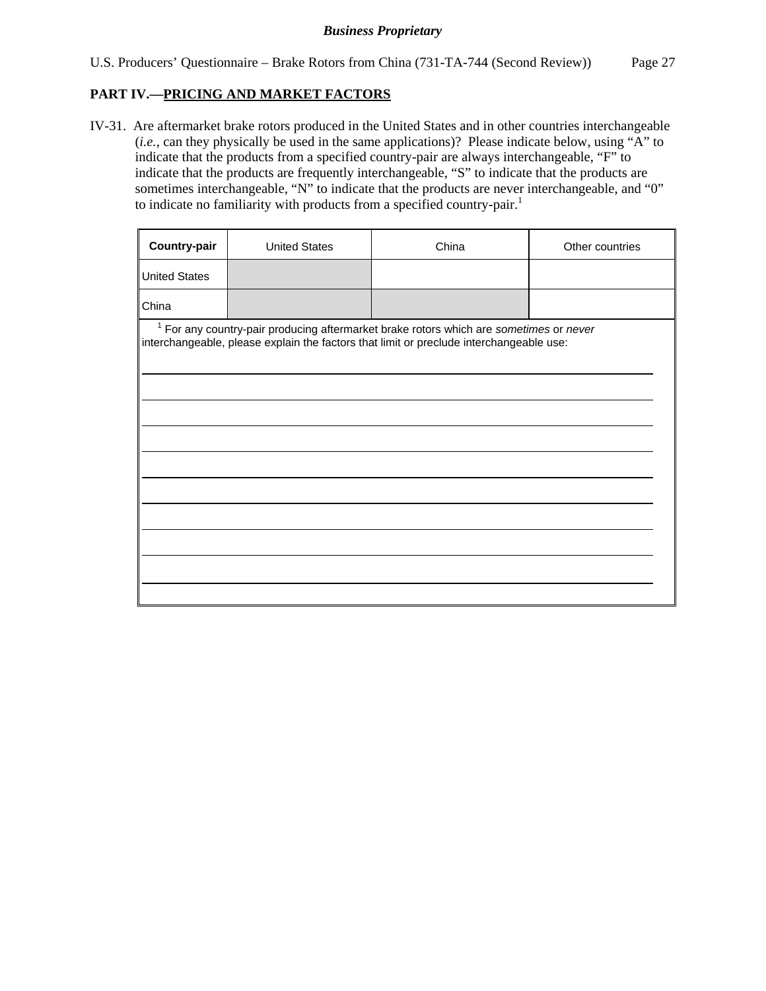## **PART IV.—PRICING AND MARKET FACTORS**

IV-31. Are aftermarket brake rotors produced in the United States and in other countries interchangeable (*i.e.*, can they physically be used in the same applications)? Please indicate below, using "A" to indicate that the products from a specified country-pair are always interchangeable, "F" to indicate that the products are frequently interchangeable, "S" to indicate that the products are sometimes interchangeable, "N" to indicate that the products are never interchangeable, and "0" to indicate no familiarity with products from a specified country-pair.<sup>1</sup>

| Country-pair         | <b>United States</b> | China                                                                                                                                                                                        | Other countries |
|----------------------|----------------------|----------------------------------------------------------------------------------------------------------------------------------------------------------------------------------------------|-----------------|
| <b>United States</b> |                      |                                                                                                                                                                                              |                 |
| China                |                      |                                                                                                                                                                                              |                 |
|                      |                      | <sup>1</sup> For any country-pair producing aftermarket brake rotors which are sometimes or never<br>interchangeable, please explain the factors that limit or preclude interchangeable use: |                 |
|                      |                      |                                                                                                                                                                                              |                 |
|                      |                      |                                                                                                                                                                                              |                 |